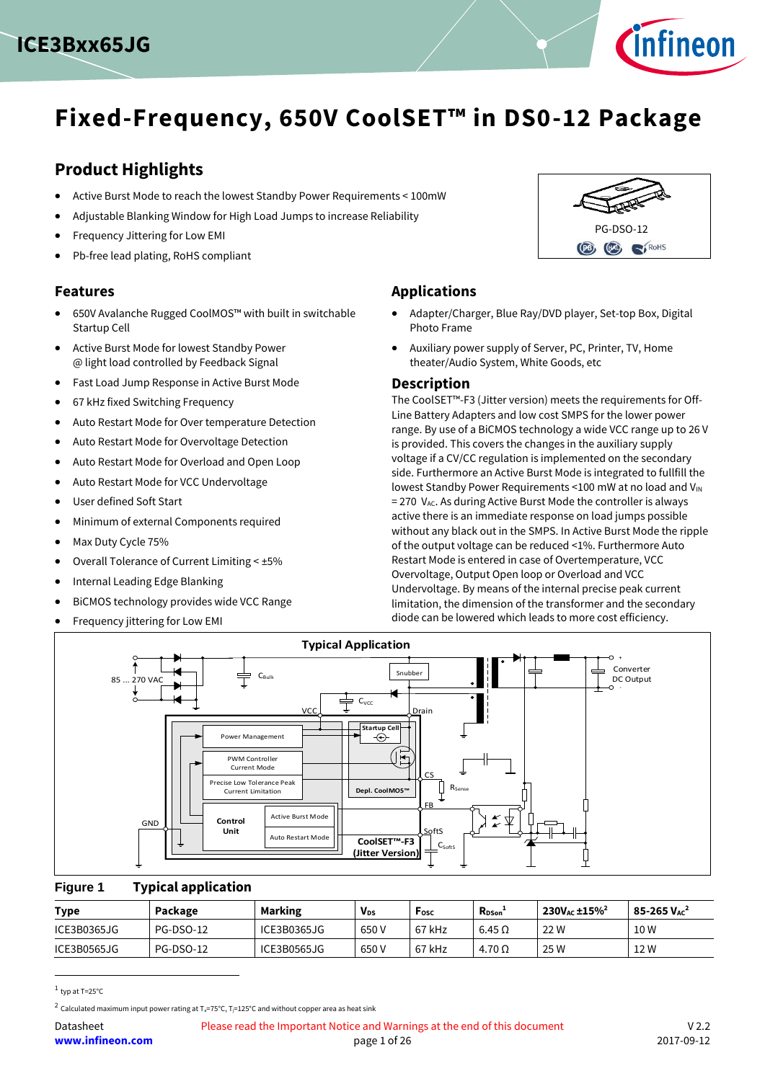



# **Fixed-Frequency, 650V CoolSET™ in DS0-12 Package**

### **Product Highlights**

- Active Burst Mode to reach the lowest Standby Power Requirements < 100mW
- Adjustable Blanking Window for High Load Jumps to increase Reliability
- Frequency Jittering for Low EMI
- Pb-free lead plating, RoHS compliant

#### **Features**

- 650V Avalanche Rugged CoolMOS™ with built in switchable Startup Cell
- Active Burst Mode for lowest Standby Power @ light load controlled by Feedback Signal
- Fast Load Jump Response in Active Burst Mode
- 67 kHz fixed Switching Frequency
- Auto Restart Mode for Over temperature Detection
- Auto Restart Mode for Overvoltage Detection
- Auto Restart Mode for Overload and Open Loop
- Auto Restart Mode for VCC Undervoltage
- User defined Soft Start
- Minimum of external Components required
- Max Duty Cycle 75%
- Overall Tolerance of Current Limiting < ±5%
- Internal Leading Edge Blanking
- BiCMOS technology provides wide VCC Range
- Frequency jittering for Low EMI

**Applications**

- Adapter/Charger, Blue Ray/DVD player, Set-top Box, Digital Photo Frame
- Auxiliary power supply of Server, PC, Printer, TV, Home theater/Audio System, White Goods, etc

#### **Description**

The CoolSET™-F3 (Jitter version) meets the requirements for Off-Line Battery Adapters and low cost SMPS for the lower power range. By use of a BiCMOS technology a wide VCC range up to 26 V is provided. This covers the changes in the auxiliary supply voltage if a CV/CC regulation is implemented on the secondary side. Furthermore an Active Burst Mode is integrated to fullfill the lowest Standby Power Requirements <100 mW at no load and  $V_{IN}$  $= 270$  V<sub>AC</sub>. As during Active Burst Mode the controller is always active there is an immediate response on load jumps possible without any black out in the SMPS. In Active Burst Mode the ripple of the output voltage can be reduced <1%. Furthermore Auto Restart Mode is entered in case of Overtemperature, VCC Overvoltage, Output Open loop or Overload and VCC Undervoltage. By means of the internal precise peak current limitation, the dimension of the transformer and the secondary diode can be lowered which leads to more cost efficiency.



#### **Figure 1 Typical application**

| <b>Type</b> | Package   | <b>Marking</b> | <b>V<sub>ps</sub></b> | Fosc   | <b>Rpson</b>  | $230V_{AC}$ ±15% <sup>2</sup> | $85 - 265$ $V_{AC}^2$ |
|-------------|-----------|----------------|-----------------------|--------|---------------|-------------------------------|-----------------------|
| ICE3B0365JG | PG-DSO-12 | ICE3B0365JG    | 650 V                 | 67 kHz | $6.45\Omega$  | 22 W                          | 10 W                  |
| ICE3B0565JG | PG-DSO-12 | ICE3B0565JG    | 650 V                 | 67 kHz | $4.70 \Omega$ | 25 W                          | 12 W                  |

 $<sup>1</sup>$  typ at T=25°C</sup>

 $\overline{\phantom{a}}$ 



 $^2$  Calculated maximum input power rating at T $_{\rm s}$ =75°C, T $_{\rm l}$ =125°C and without copper area as heat sink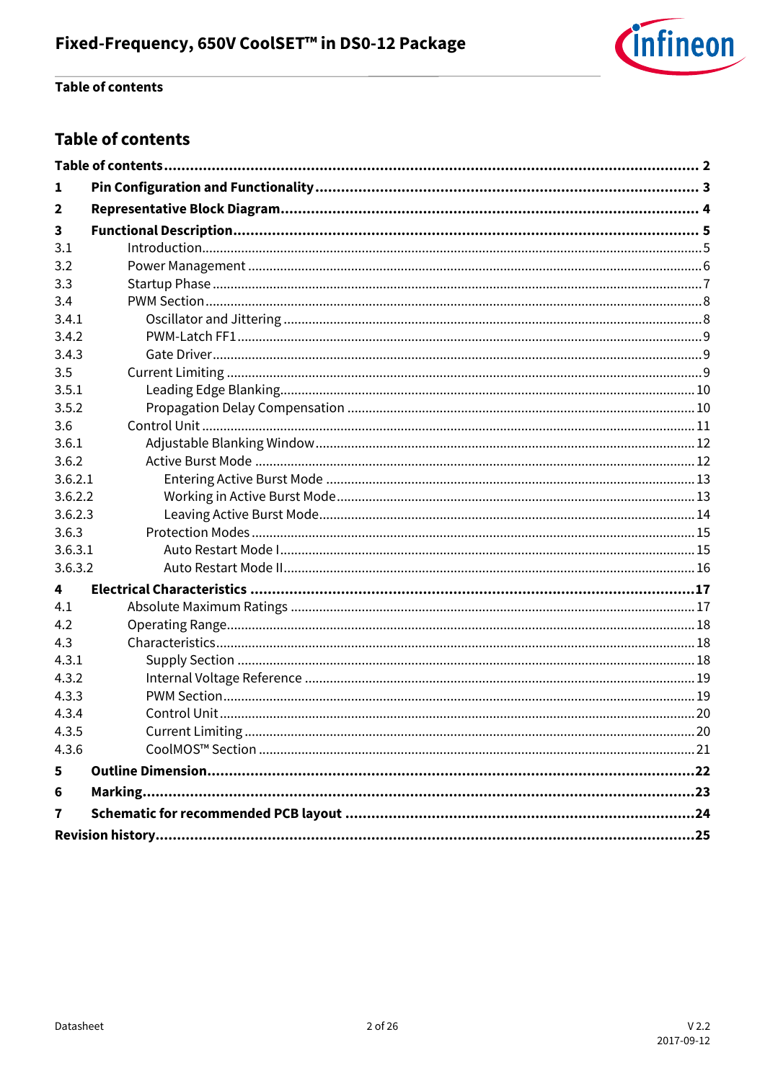

### **Table of contents**

### <span id="page-1-0"></span>**Table of contents**

| 1                       |  |
|-------------------------|--|
| $\overline{2}$          |  |
| 3                       |  |
| 3.1                     |  |
| 3.2                     |  |
| 3.3                     |  |
| 3.4                     |  |
| 3.4.1                   |  |
| 3.4.2                   |  |
| 3.4.3                   |  |
| 3.5                     |  |
| 3.5.1                   |  |
| 3.5.2                   |  |
| 3.6                     |  |
| 3.6.1                   |  |
| 3.6.2                   |  |
| 3.6.2.1                 |  |
| 3.6.2.2                 |  |
| 3.6.2.3                 |  |
| 3.6.3                   |  |
| 3.6.3.1                 |  |
| 3.6.3.2                 |  |
| 4                       |  |
| 4.1                     |  |
| 4.2                     |  |
| 4.3                     |  |
| 4.3.1                   |  |
| 4.3.2                   |  |
| 4.3.3                   |  |
| 4.3.4                   |  |
| 4.3.5                   |  |
| 4.3.6                   |  |
| 5                       |  |
| 6                       |  |
| $\overline{\mathbf{r}}$ |  |
|                         |  |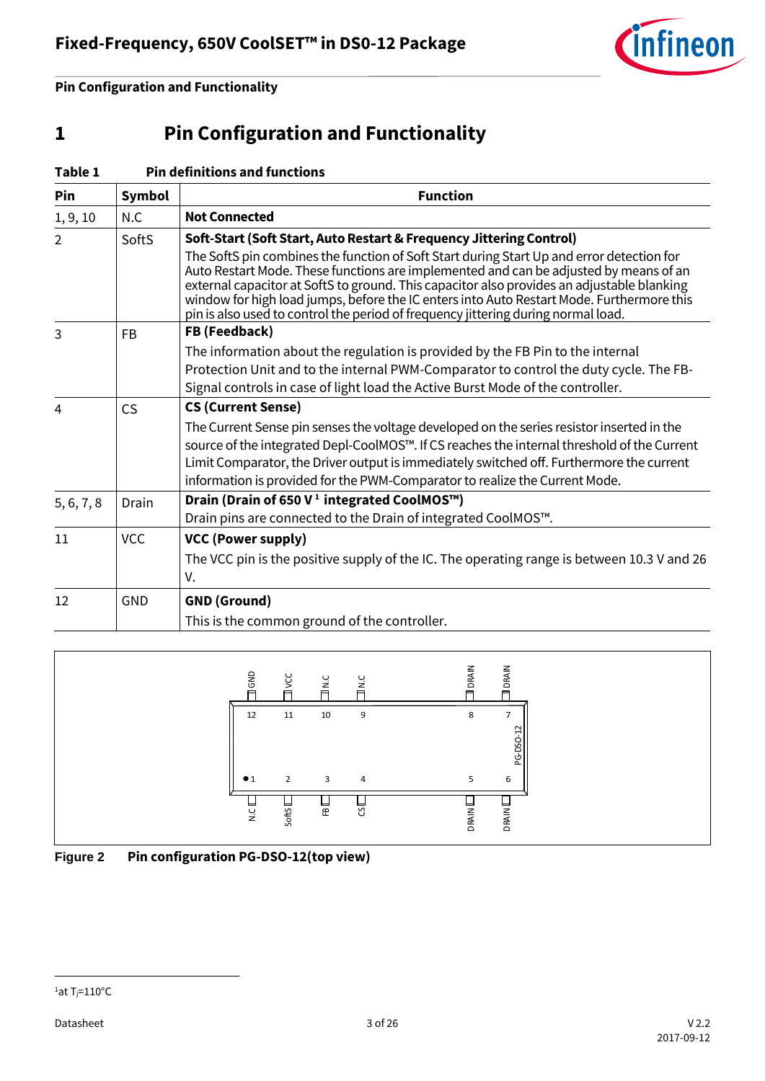

**Pin Configuration and Functionality**

# <span id="page-2-0"></span>**1 Pin Configuration and Functionality**

| Table 1    |               | <b>Pin definitions and functions</b>                                                                                                                                                                                                                                                                                                                                                                                                                               |
|------------|---------------|--------------------------------------------------------------------------------------------------------------------------------------------------------------------------------------------------------------------------------------------------------------------------------------------------------------------------------------------------------------------------------------------------------------------------------------------------------------------|
| Pin        | <b>Symbol</b> | <b>Function</b>                                                                                                                                                                                                                                                                                                                                                                                                                                                    |
| 1, 9, 10   | N.C           | <b>Not Connected</b>                                                                                                                                                                                                                                                                                                                                                                                                                                               |
| 2          | SoftS         | Soft-Start (Soft Start, Auto Restart & Frequency Jittering Control)                                                                                                                                                                                                                                                                                                                                                                                                |
|            |               | The SoftS pin combines the function of Soft Start during Start Up and error detection for<br>Auto Restart Mode. These functions are implemented and can be adjusted by means of an<br>external capacitor at SoftS to ground. This capacitor also provides an adjustable blanking<br>window for high load jumps, before the IC enters into Auto Restart Mode. Furthermore this<br>pin is also used to control the period of frequency jittering during normal load. |
| 3          | <b>FB</b>     | FB (Feedback)                                                                                                                                                                                                                                                                                                                                                                                                                                                      |
|            |               | The information about the regulation is provided by the FB Pin to the internal                                                                                                                                                                                                                                                                                                                                                                                     |
|            |               | Protection Unit and to the internal PWM-Comparator to control the duty cycle. The FB-                                                                                                                                                                                                                                                                                                                                                                              |
|            |               | Signal controls in case of light load the Active Burst Mode of the controller.                                                                                                                                                                                                                                                                                                                                                                                     |
| 4          | CS            | <b>CS (Current Sense)</b>                                                                                                                                                                                                                                                                                                                                                                                                                                          |
|            |               | The Current Sense pin senses the voltage developed on the series resistor inserted in the<br>source of the integrated Depl-CoolMOS™. If CS reaches the internal threshold of the Current<br>Limit Comparator, the Driver output is immediately switched off. Furthermore the current<br>information is provided for the PWM-Comparator to realize the Current Mode.                                                                                                |
| 5, 6, 7, 8 | Drain         | Drain (Drain of 650 V <sup>1</sup> integrated CoolMOS™)                                                                                                                                                                                                                                                                                                                                                                                                            |
|            |               | Drain pins are connected to the Drain of integrated CoolMOS™.                                                                                                                                                                                                                                                                                                                                                                                                      |
| 11         | <b>VCC</b>    | <b>VCC (Power supply)</b>                                                                                                                                                                                                                                                                                                                                                                                                                                          |
|            |               | The VCC pin is the positive supply of the IC. The operating range is between 10.3 V and 26<br>V.                                                                                                                                                                                                                                                                                                                                                                   |
| 12         | <b>GND</b>    | <b>GND (Ground)</b>                                                                                                                                                                                                                                                                                                                                                                                                                                                |
|            |               | This is the common ground of the controller.                                                                                                                                                                                                                                                                                                                                                                                                                       |





 $\overline{\phantom{a}}$ 

 $1a$ t T<sub>j</sub>=110°C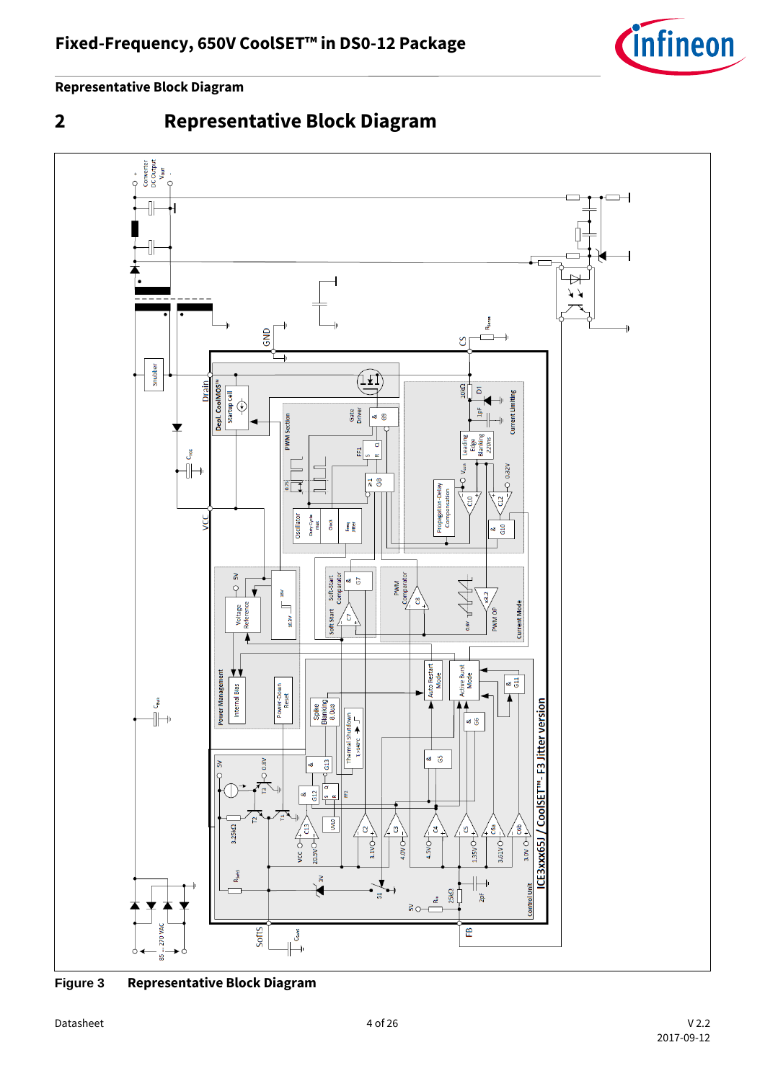

**Representative Block Diagram**

# <span id="page-3-0"></span>**2 Representative Block Diagram**



**Figure 3 Representative Block Diagram**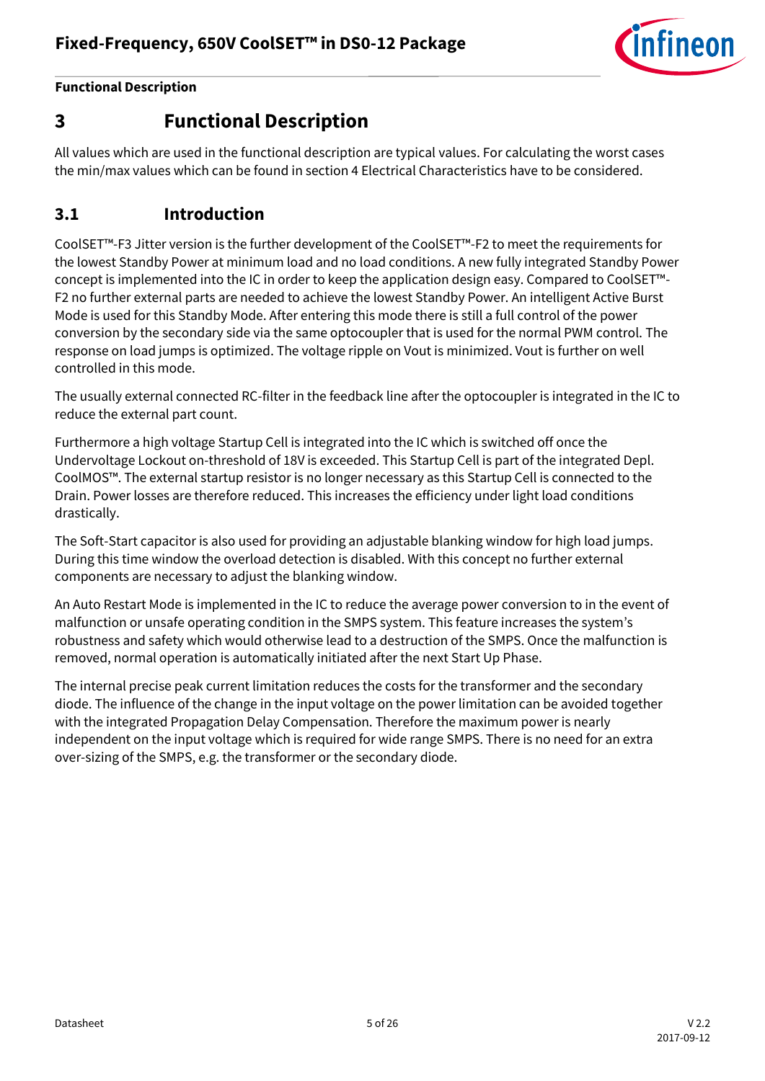

## <span id="page-4-0"></span>**3 Functional Description**

All values which are used in the functional description are typical values. For calculating the worst cases the min/max values which can be found in section 4 Electrical Characteristics have to be considered.

### <span id="page-4-1"></span>**3.1 Introduction**

CoolSET™-F3 Jitter version is the further development of the CoolSET™-F2 to meet the requirements for the lowest Standby Power at minimum load and no load conditions. A new fully integrated Standby Power concept is implemented into the IC in order to keep the application design easy. Compared to CoolSET™- F2 no further external parts are needed to achieve the lowest Standby Power. An intelligent Active Burst Mode is used for this Standby Mode. After entering this mode there is still a full control of the power conversion by the secondary side via the same optocoupler that is used for the normal PWM control. The response on load jumps is optimized. The voltage ripple on Vout is minimized. Vout is further on well controlled in this mode.

The usually external connected RC-filter in the feedback line after the optocoupler is integrated in the IC to reduce the external part count.

Furthermore a high voltage Startup Cell is integrated into the IC which is switched off once the Undervoltage Lockout on-threshold of 18V is exceeded. This Startup Cell is part of the integrated Depl. CoolMOS™. The external startup resistor is no longer necessary as this Startup Cell is connected to the Drain. Power losses are therefore reduced. This increases the efficiency under light load conditions drastically.

The Soft-Start capacitor is also used for providing an adjustable blanking window for high load jumps. During this time window the overload detection is disabled. With this concept no further external components are necessary to adjust the blanking window.

An Auto Restart Mode is implemented in the IC to reduce the average power conversion to in the event of malfunction or unsafe operating condition in the SMPS system. This feature increases the system's robustness and safety which would otherwise lead to a destruction of the SMPS. Once the malfunction is removed, normal operation is automatically initiated after the next Start Up Phase.

The internal precise peak current limitation reduces the costs for the transformer and the secondary diode. The influence of the change in the input voltage on the power limitation can be avoided together with the integrated Propagation Delay Compensation. Therefore the maximum power is nearly independent on the input voltage which is required for wide range SMPS. There is no need for an extra over-sizing of the SMPS, e.g. the transformer or the secondary diode.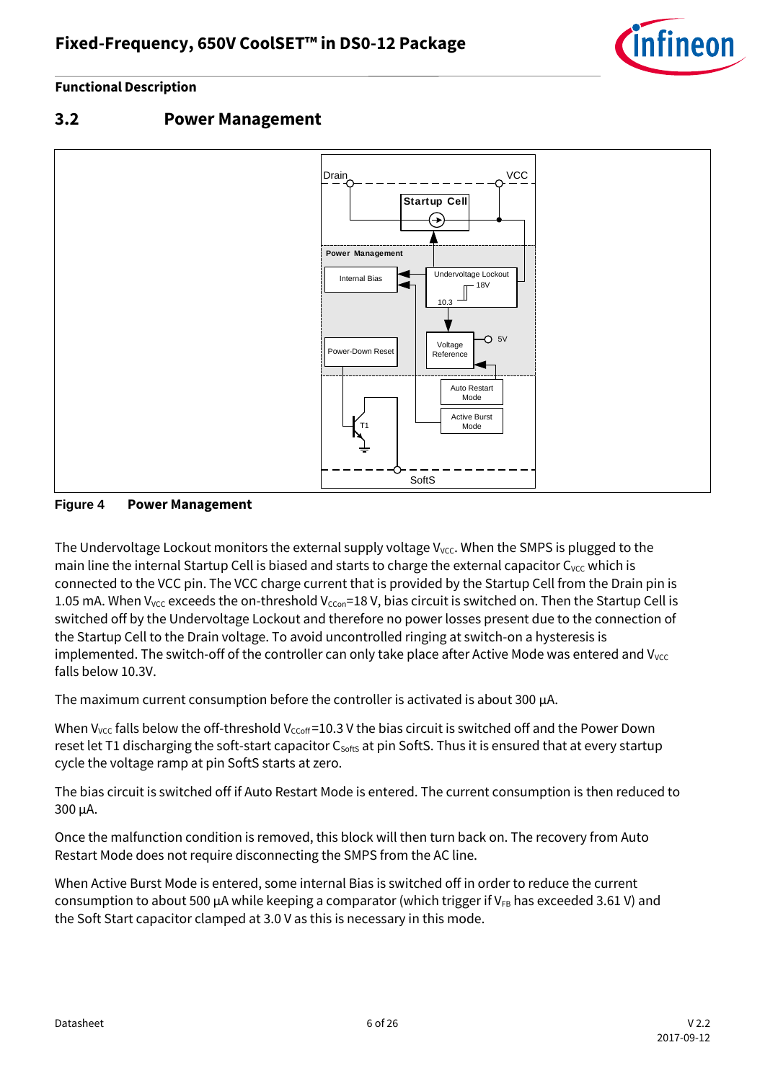

### <span id="page-5-0"></span>**3.2 Power Management**



**Figure 4 Power Management**

The Undervoltage Lockout monitors the external supply voltage  $V_{\text{vcc}}$ . When the SMPS is plugged to the main line the internal Startup Cell is biased and starts to charge the external capacitor C<sub>VCC</sub> which is connected to the VCC pin. The VCC charge current that is provided by the Startup Cell from the Drain pin is 1.05 mA. When V<sub>VCC</sub> exceeds the on-threshold V<sub>CCon</sub>=18 V, bias circuit is switched on. Then the Startup Cell is switched off by the Undervoltage Lockout and therefore no power losses present due to the connection of the Startup Cell to the Drain voltage. To avoid uncontrolled ringing at switch-on a hysteresis is implemented. The switch-off of the controller can only take place after Active Mode was entered and  $V_{\text{VCC}}$ falls below 10.3V.

The maximum current consumption before the controller is activated is about 300  $\mu$ A.

When V<sub>VCC</sub> falls below the off-threshold V<sub>CCoff</sub>=10.3 V the bias circuit is switched off and the Power Down reset let T1 discharging the soft-start capacitor C<sub>softs</sub> at pin SoftS. Thus it is ensured that at every startup cycle the voltage ramp at pin SoftS starts at zero.

The bias circuit is switched off if Auto Restart Mode is entered. The current consumption is then reduced to 300 μA.

Once the malfunction condition is removed, this block will then turn back on. The recovery from Auto Restart Mode does not require disconnecting the SMPS from the AC line.

When Active Burst Mode is entered, some internal Bias is switched off in order to reduce the current consumption to about 500 μA while keeping a comparator (which trigger if V<sub>FB</sub> has exceeded 3.61 V) and the Soft Start capacitor clamped at 3.0 V as this is necessary in this mode.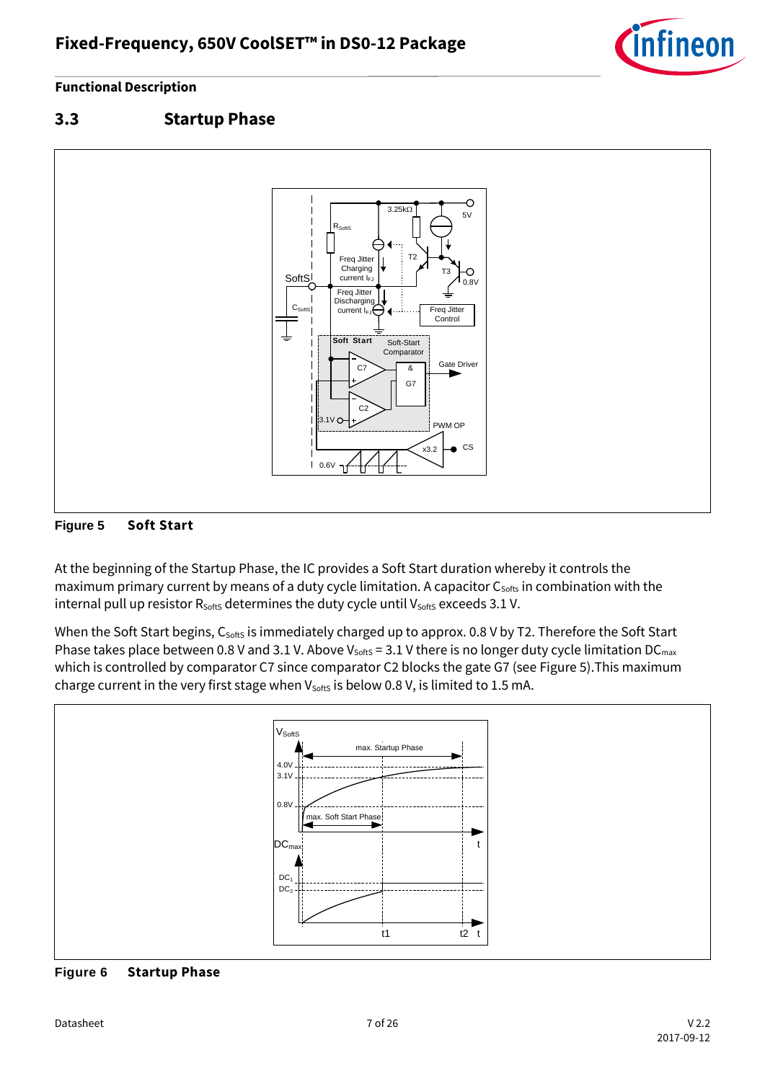

### <span id="page-6-0"></span>**3.3 Startup Phase**



<span id="page-6-1"></span>

At the beginning of the Startup Phase, the IC provides a Soft Start duration whereby it controls the maximum primary current by means of a duty cycle limitation. A capacitor C<sub>softs</sub> in combination with the internal pull up resistor  $R_{\text{SoftS}}$  determines the duty cycle until  $V_{\text{SoftS}}$  exceeds 3.1 V.

When the Soft Start begins, C<sub>softs</sub> is immediately charged up to approx. 0.8 V by T2. Therefore the Soft Start Phase takes place between 0.8 V and 3.1 V. Above Vsofts = 3.1 V there is no longer duty cycle limitation DC<sub>max</sub> which is controlled by comparator C7 since comparator C2 blocks the gate G7 (see [Figure 5\)](#page-6-1).This maximum charge current in the very first stage when  $V_{\text{SoftS}}$  is below 0.8 V, is limited to 1.5 mA.



**Figure 6 Startup Phase**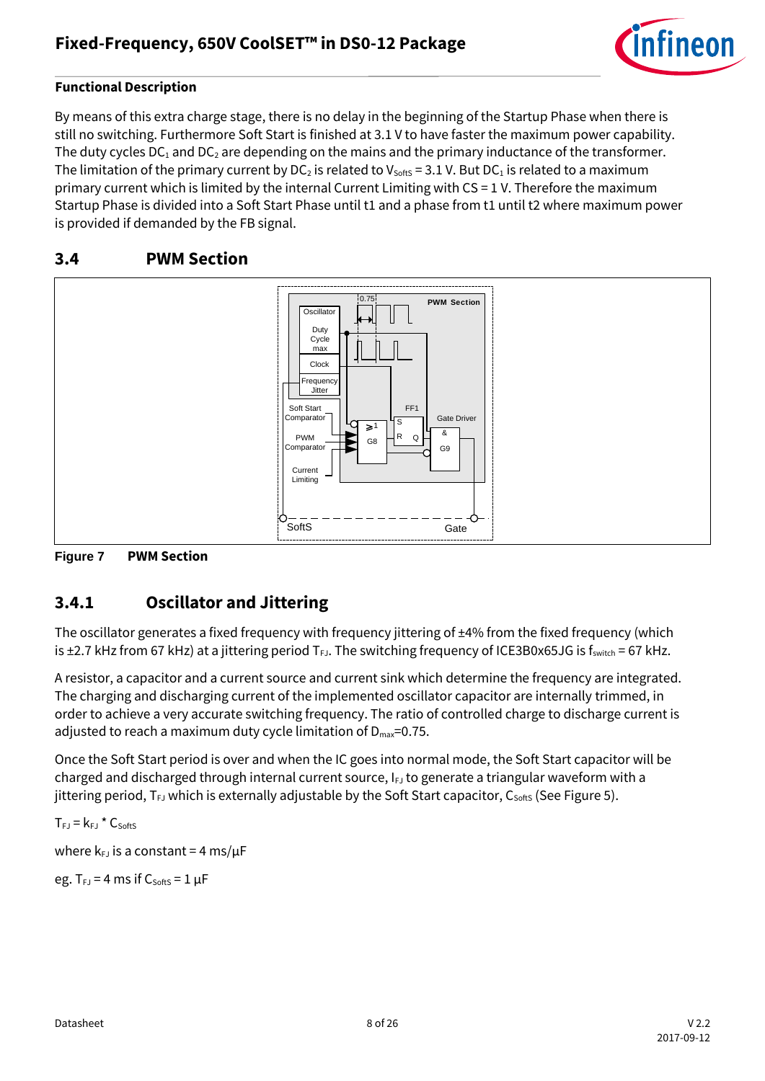

By means of this extra charge stage, there is no delay in the beginning of the Startup Phase when there is still no switching. Furthermore Soft Start is finished at 3.1 V to have faster the maximum power capability. The duty cycles  $DC_1$  and  $DC_2$  are depending on the mains and the primary inductance of the transformer. The limitation of the primary current by DC<sub>2</sub> is related to V<sub>SoftS</sub> = 3.1 V. But DC<sub>1</sub> is related to a maximum primary current which is limited by the internal Current Limiting with CS = 1 V. Therefore the maximum Startup Phase is divided into a Soft Start Phase until t1 and a phase from t1 until t2 where maximum power is provided if demanded by the FB signal.

### <span id="page-7-0"></span>**3.4 PWM Section**



**Figure 7 PWM Section**

### <span id="page-7-1"></span>**3.4.1 Oscillator and Jittering**

The oscillator generates a fixed frequency with frequency jittering of  $\pm$ 4% from the fixed frequency (which is  $\pm$ 2.7 kHz from 67 kHz) at a jittering period  $T_{FJ}$ . The switching frequency of ICE3B0x65JG is f<sub>switch</sub> = 67 kHz.

A resistor, a capacitor and a current source and current sink which determine the frequency are integrated. The charging and discharging current of the implemented oscillator capacitor are internally trimmed, in order to achieve a very accurate switching frequency. The ratio of controlled charge to discharge current is adjusted to reach a maximum duty cycle limitation of  $D_{\text{max}}=0.75$ .

Once the Soft Start period is over and when the IC goes into normal mode, the Soft Start capacitor will be charged and discharged through internal current source,  $I_{FJ}$  to generate a triangular waveform with a jittering period,  $T_{FJ}$  which is externally adjustable by the Soft Start capacitor,  $C_{\text{Sotts}}$  (See [Figure 5\)](#page-6-1).

 $T_{FJ}$  =  $k_{FJ}$  \*  $C_{SoftS}$ 

where  $k_{FJ}$  is a constant = 4 ms/ $\mu$ F

eg.  $T_{FJ} = 4$  ms if  $C_{SoftS} = 1 \mu F$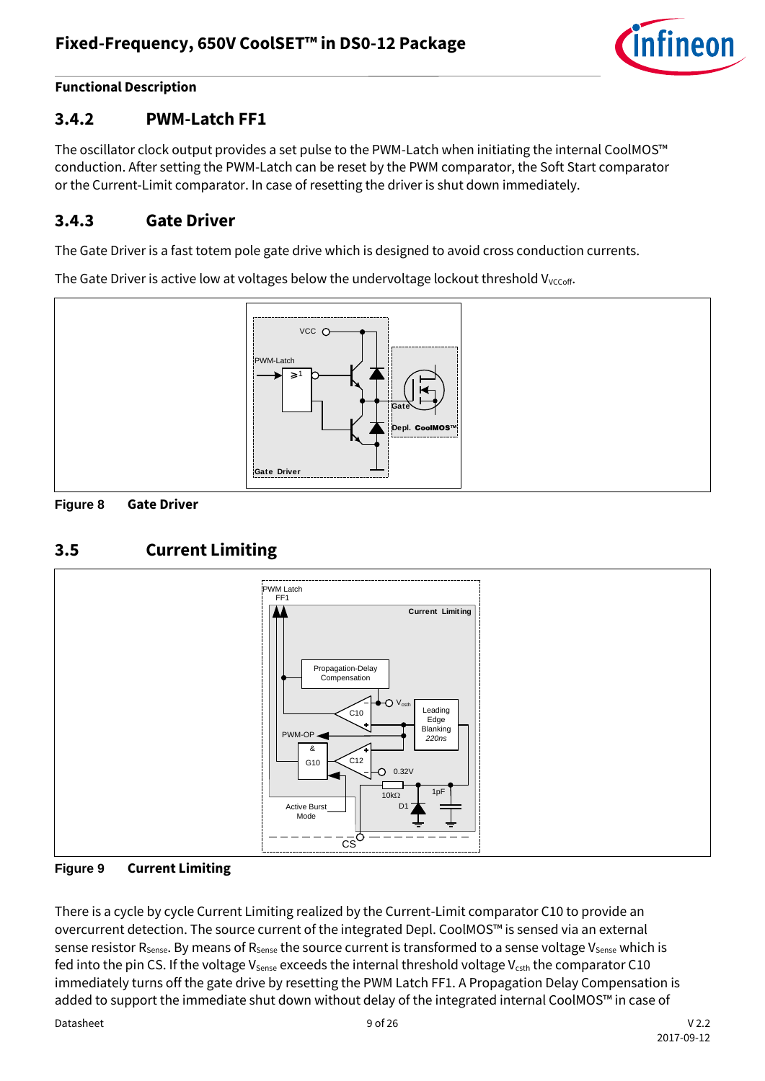

### <span id="page-8-0"></span>**3.4.2 PWM-Latch FF1**

The oscillator clock output provides a set pulse to the PWM-Latch when initiating the internal CoolMOS™ conduction. After setting the PWM-Latch can be reset by the PWM comparator, the Soft Start comparator or the Current-Limit comparator. In case of resetting the driver is shut down immediately.

### <span id="page-8-1"></span>**3.4.3 Gate Driver**

The Gate Driver is a fast totem pole gate drive which is designed to avoid cross conduction currents.

The Gate Driver is active low at voltages below the undervoltage lockout threshold V<sub>VCCoff</sub>.





### <span id="page-8-2"></span>**3.5 Current Limiting**





There is a cycle by cycle Current Limiting realized by the Current-Limit comparator C10 to provide an overcurrent detection. The source current of the integrated Depl. CoolMOS™ is sensed via an external sense resistor  $R_{\text{Sense}}$ . By means of  $R_{\text{Sense}}$  the source current is transformed to a sense voltage  $V_{\text{Sense}}$  which is fed into the pin CS. If the voltage  $V_{\text{Sense}}$  exceeds the internal threshold voltage  $V_{\text{csth}}$  the comparator C10 immediately turns off the gate drive by resetting the PWM Latch FF1. A Propagation Delay Compensation is added to support the immediate shut down without delay of the integrated internal CoolMOS™ in case of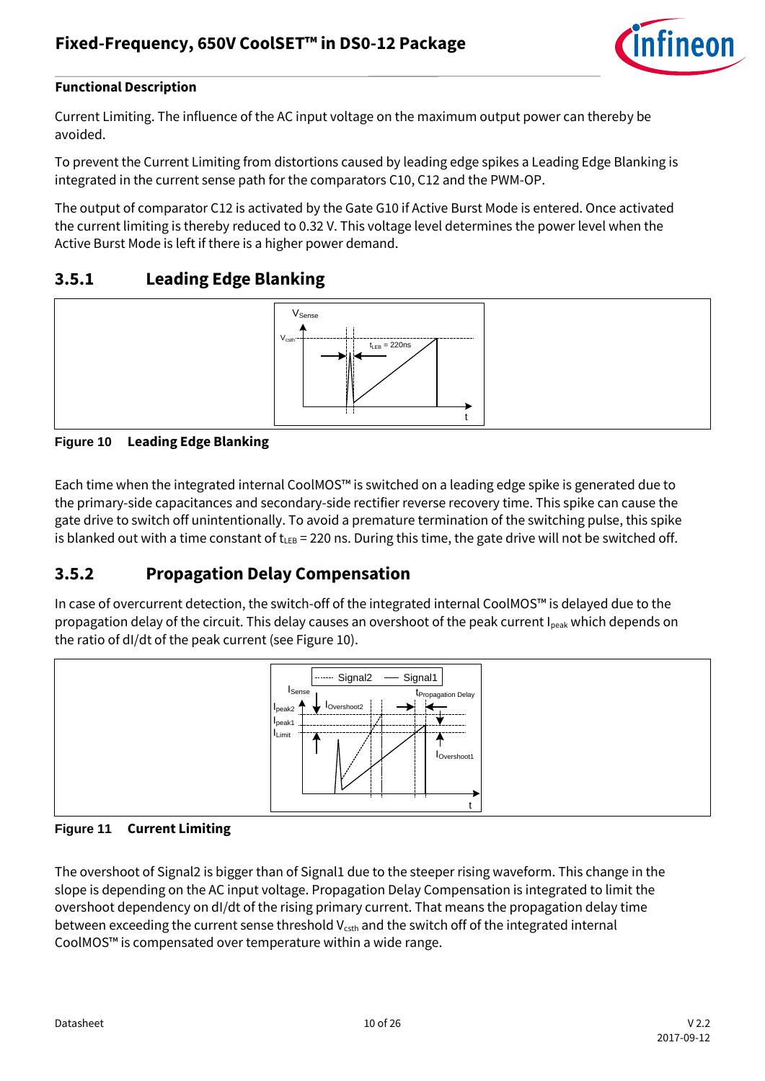

Current Limiting. The influence of the AC input voltage on the maximum output power can thereby be avoided.

To prevent the Current Limiting from distortions caused by leading edge spikes a Leading Edge Blanking is integrated in the current sense path for the comparators C10, C12 and the PWM-OP.

The output of comparator C12 is activated by the Gate G10 if Active Burst Mode is entered. Once activated the current limiting is thereby reduced to 0.32 V. This voltage level determines the power level when the Active Burst Mode is left if there is a higher power demand.

### <span id="page-9-0"></span>**3.5.1 Leading Edge Blanking**



#### **Figure 10 Leading Edge Blanking**

Each time when the integrated internal CoolMOS™ is switched on a leading edge spike is generated due to the primary-side capacitances and secondary-side rectifier reverse recovery time. This spike can cause the gate drive to switch off unintentionally. To avoid a premature termination of the switching pulse, this spike is blanked out with a time constant of t<sub>LEB</sub> = 220 ns. During this time, the gate drive will not be switched off.

### <span id="page-9-1"></span>**3.5.2 Propagation Delay Compensation**

In case of overcurrent detection, the switch-off of the integrated internal CoolMOS™ is delayed due to the propagation delay of the circuit. This delay causes an overshoot of the peak current I<sub>peak</sub> which depends on the ratio of dI/dt of the peak current (see Figure 10).



#### **Figure 11 Current Limiting**

The overshoot of Signal2 is bigger than of Signal1 due to the steeper rising waveform. This change in the slope is depending on the AC input voltage. Propagation Delay Compensation is integrated to limit the overshoot dependency on dI/dt of the rising primary current. That means the propagation delay time between exceeding the current sense threshold V<sub>csth</sub> and the switch off of the integrated internal CoolMOS™ is compensated over temperature within a wide range.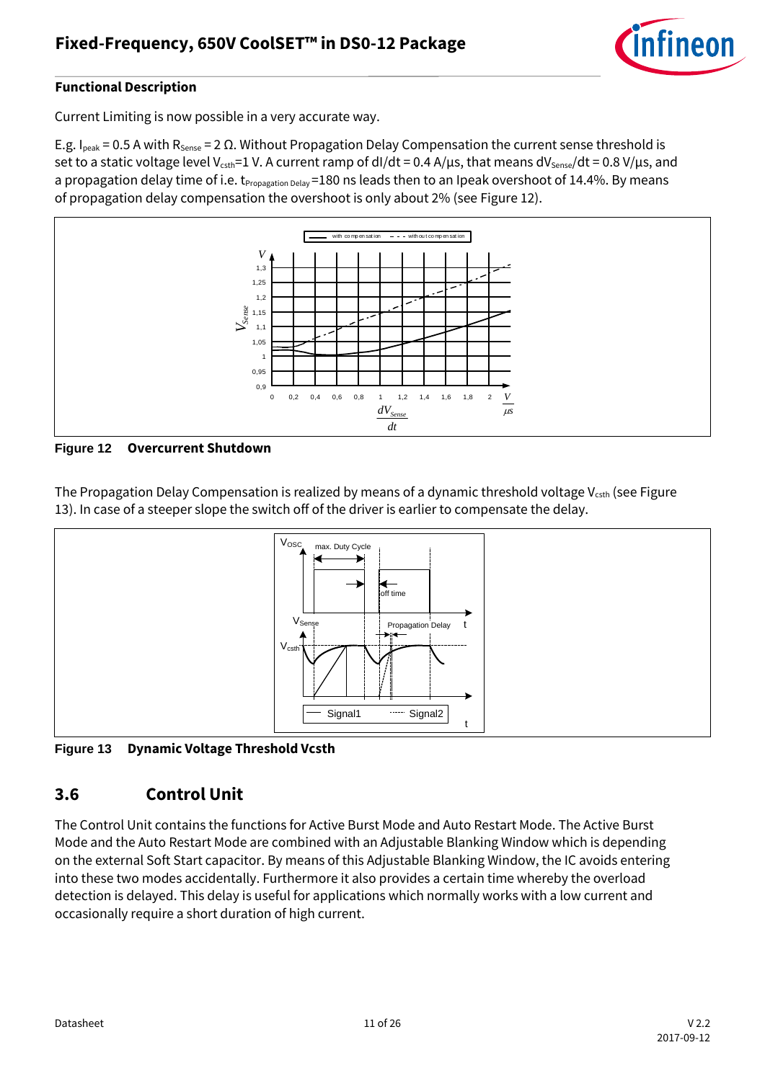

Current Limiting is now possible in a very accurate way.

E.g. I<sub>peak</sub> = 0.5 A with R<sub>Sense</sub> = 2 Ω. Without Propagation Delay Compensation the current sense threshold is set to a static voltage level V<sub>csth</sub>=1 V. A current ramp of dI/dt = 0.4 A/µs, that means dV<sub>sense</sub>/dt = 0.8 V/µs, and a propagation delay time of i.e. t<sub>Propagation Delay</sub> =180 ns leads then to an Ipeak overshoot of 14.4%. By means of propagation delay compensation the overshoot is only about 2% (see [Figure 12\)](#page-10-1).



<span id="page-10-1"></span>**Figure 12 Overcurrent Shutdown**

The Propagation Delay Compensation is realized by means of a dynamic threshold voltage  $V_{\text{csth}}$  (see Figure [13\)](#page-10-2). In case of a steeper slope the switch off of the driver is earlier to compensate the delay.



<span id="page-10-2"></span>**Figure 13 Dynamic Voltage Threshold Vcsth**

### <span id="page-10-0"></span>**3.6 Control Unit**

The Control Unit contains the functions for Active Burst Mode and Auto Restart Mode. The Active Burst Mode and the Auto Restart Mode are combined with an Adjustable Blanking Window which is depending on the external Soft Start capacitor. By means of this Adjustable Blanking Window, the IC avoids entering into these two modes accidentally. Furthermore it also provides a certain time whereby the overload detection is delayed. This delay is useful for applications which normally works with a low current and occasionally require a short duration of high current.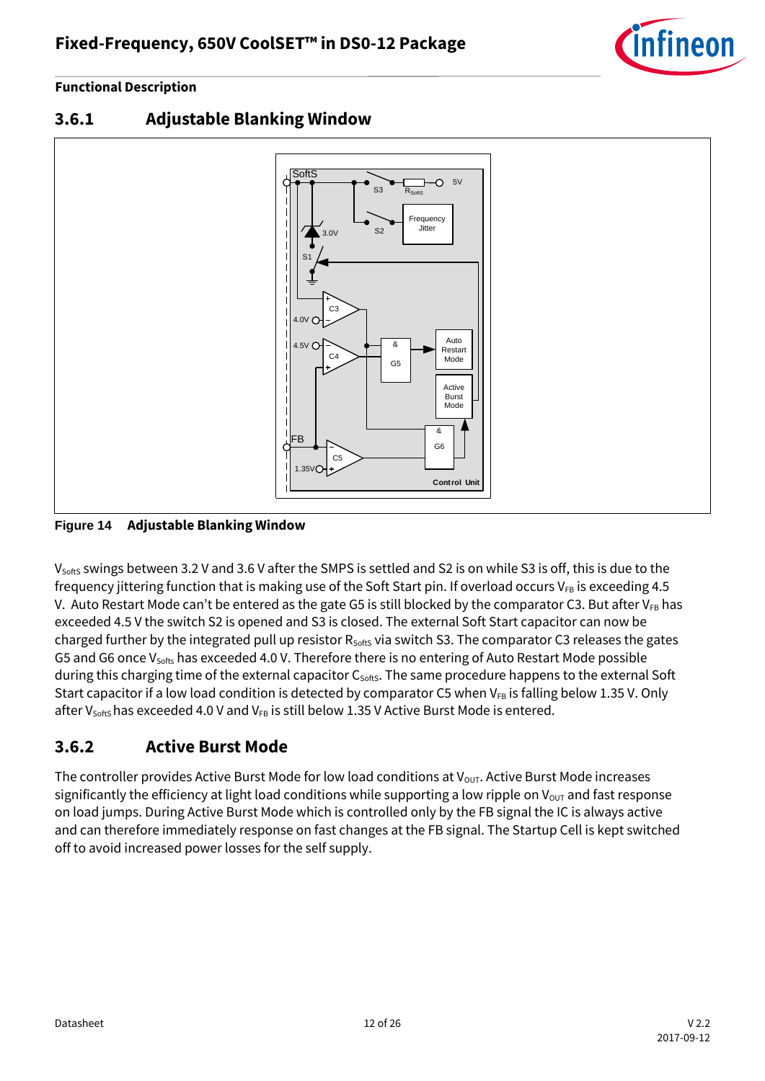



<span id="page-11-0"></span>**3.6.1 Adjustable Blanking Window**

<span id="page-11-2"></span>**Figure 14 Adjustable Blanking Window**

V<sub>SoftS</sub> swings between 3.2 V and 3.6 V after the SMPS is settled and S2 is on while S3 is off, this is due to the frequency jittering function that is making use of the Soft Start pin. If overload occurs  $V_{FB}$  is exceeding 4.5 V. Auto Restart Mode can't be entered as the gate G5 is still blocked by the comparator C3. But after  $V_{FB}$  has exceeded 4.5 V the switch S2 is opened and S3 is closed. The external Soft Start capacitor can now be charged further by the integrated pull up resistor  $R_{\text{softS}}$  via switch S3. The comparator C3 releases the gates G5 and G6 once V<sub>softs</sub> has exceeded 4.0 V. Therefore there is no entering of Auto Restart Mode possible during this charging time of the external capacitor C<sub>softs</sub>. The same procedure happens to the external Soft Start capacitor if a low load condition is detected by comparator C5 when  $V_{FB}$  is falling below 1.35 V. Only after V<sub>softs</sub> has exceeded 4.0 V and V<sub>FB</sub> is still below 1.35 V Active Burst Mode is entered.

### <span id="page-11-1"></span>**3.6.2 Active Burst Mode**

The controller provides Active Burst Mode for low load conditions at  $V_{\text{OUT}}$ . Active Burst Mode increases significantly the efficiency at light load conditions while supporting a low ripple on  $V_{\text{OUT}}$  and fast response on load jumps. During Active Burst Mode which is controlled only by the FB signal the IC is always active and can therefore immediately response on fast changes at the FB signal. The Startup Cell is kept switched off to avoid increased power losses for the self supply.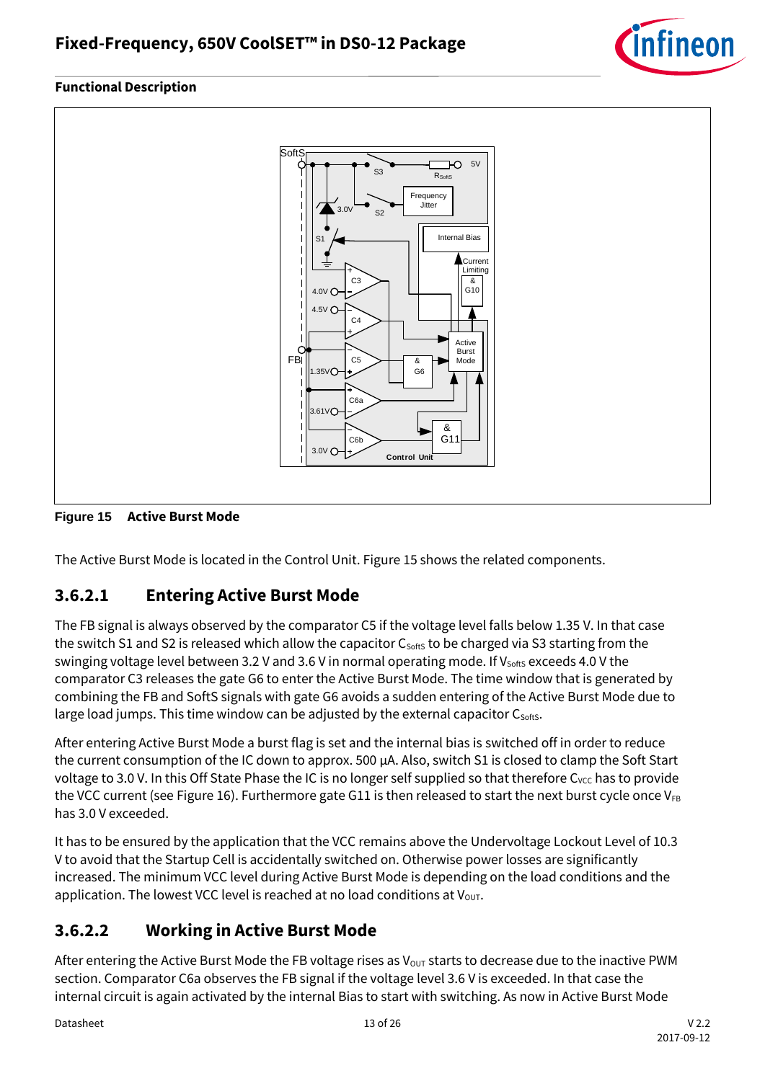



#### <span id="page-12-2"></span>**Figure 15 Active Burst Mode**

The Active Burst Mode is located in the Control Unit[. Figure 15](#page-12-2) shows the related components.

### <span id="page-12-0"></span>**3.6.2.1 Entering Active Burst Mode**

The FB signal is always observed by the comparator C5 if the voltage level falls below 1.35 V. In that case the switch S1 and S2 is released which allow the capacitor  $C_{\text{softs}}$  to be charged via S3 starting from the swinging voltage level between 3.2 V and 3.6 V in normal operating mode. If V<sub>softs</sub> exceeds 4.0 V the comparator C3 releases the gate G6 to enter the Active Burst Mode. The time window that is generated by combining the FB and SoftS signals with gate G6 avoids a sudden entering of the Active Burst Mode due to large load jumps. This time window can be adjusted by the external capacitor  $C_{\text{sons}}$ .

After entering Active Burst Mode a burst flag is set and the internal bias is switched off in order to reduce the current consumption of the IC down to approx. 500 μA. Also, switch S1 is closed to clamp the Soft Start voltage to 3.0 V. In this Off State Phase the IC is no longer self supplied so that therefore C<sub>VCC</sub> has to provide the VCC current (se[e Figure 16\)](#page-13-1). Furthermore gate G11 is then released to start the next burst cycle once  $V_{FB}$ has 3.0 V exceeded.

It has to be ensured by the application that the VCC remains above the Undervoltage Lockout Level of 10.3 V to avoid that the Startup Cell is accidentally switched on. Otherwise power losses are significantly increased. The minimum VCC level during Active Burst Mode is depending on the load conditions and the application. The lowest VCC level is reached at no load conditions at  $V_{\text{OUT}}$ .

### <span id="page-12-1"></span>**3.6.2.2 Working in Active Burst Mode**

After entering the Active Burst Mode the FB voltage rises as  $V_{\text{OUT}}$  starts to decrease due to the inactive PWM section. Comparator C6a observes the FB signal if the voltage level 3.6 V is exceeded. In that case the internal circuit is again activated by the internal Bias to start with switching. As now in Active Burst Mode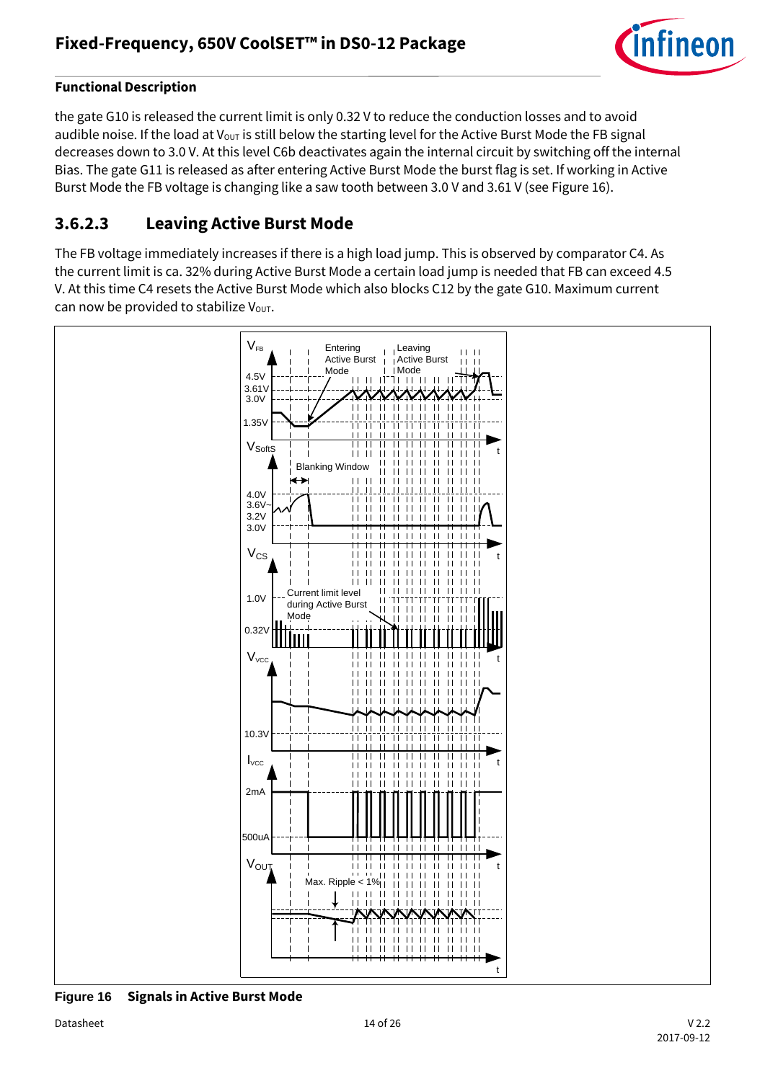

the gate G10 is released the current limit is only 0.32 V to reduce the conduction losses and to avoid audible noise. If the load at  $V_{\text{OUT}}$  is still below the starting level for the Active Burst Mode the FB signal decreases down to 3.0 V. At this level C6b deactivates again the internal circuit by switching off the internal Bias. The gate G11 is released as after entering Active Burst Mode the burst flag is set. If working in Active Burst Mode the FB voltage is changing like a saw tooth between 3.0 V and 3.61 V (se[e Figure 16\)](#page-13-1).

### <span id="page-13-0"></span>**3.6.2.3 Leaving Active Burst Mode**

The FB voltage immediately increases if there is a high load jump. This is observed by comparator C4. As the current limit is ca. 32% during Active Burst Mode a certain load jump is needed that FB can exceed 4.5 V. At this time C4 resets the Active Burst Mode which also blocks C12 by the gate G10. Maximum current can now be provided to stabilize  $V_{\text{OUT}}$ .



<span id="page-13-1"></span>**Figure 16 Signals in Active Burst Mode**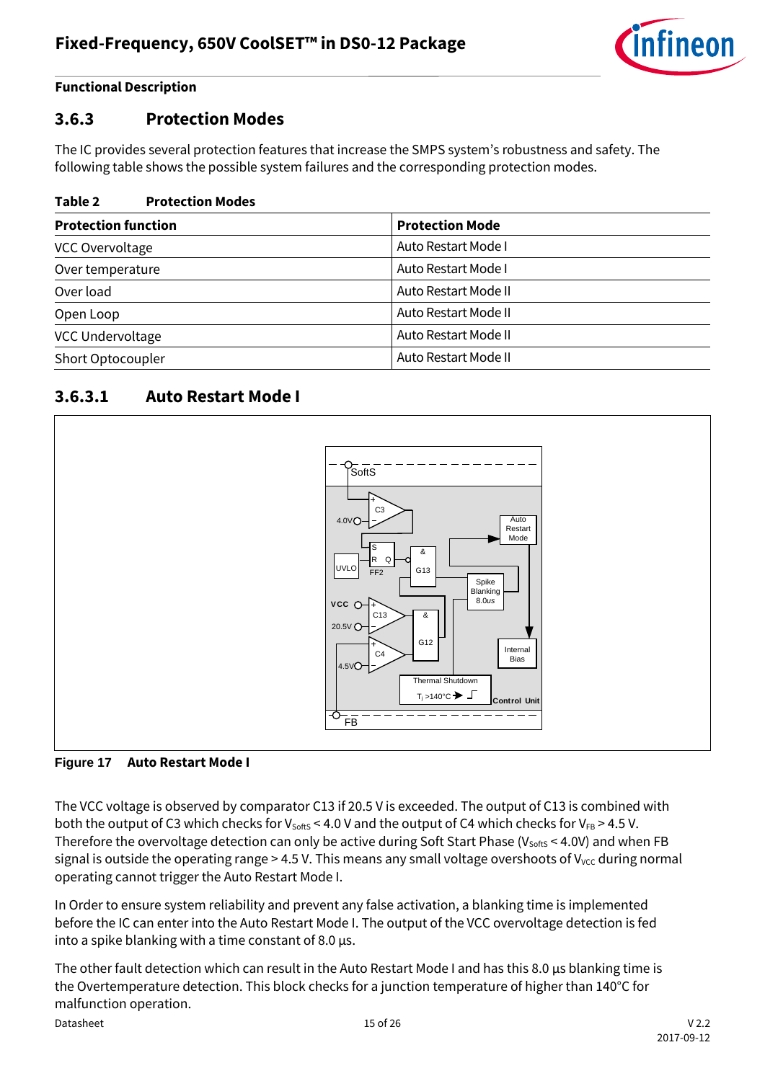![](_page_14_Picture_1.jpeg)

### <span id="page-14-0"></span>**3.6.3 Protection Modes**

The IC provides several protection features that increase the SMPS system's robustness and safety. The following table shows the possible system failures and the corresponding protection modes.

#### **Table 2 Protection Modes**

| <b>Protection function</b> | <b>Protection Mode</b> |
|----------------------------|------------------------|
| VCC Overvoltage            | Auto Restart Mode I    |
| Over temperature           | Auto Restart Mode I    |
| Over load                  | Auto Restart Mode II   |
| Open Loop                  | Auto Restart Mode II   |
| VCC Undervoltage           | Auto Restart Mode II   |
| Short Optocoupler          | Auto Restart Mode II   |

### <span id="page-14-1"></span>**3.6.3.1 Auto Restart Mode I**

![](_page_14_Figure_8.jpeg)

#### **Figure 17 Auto Restart Mode I**

The VCC voltage is observed by comparator C13 if 20.5 V is exceeded. The output of C13 is combined with both the output of C3 which checks for V<sub>softs</sub> < 4.0 V and the output of C4 which checks for V<sub>FB</sub> > 4.5 V. Therefore the overvoltage detection can only be active during Soft Start Phase ( $V_{\text{softs}}$  < 4.0V) and when FB signal is outside the operating range > 4.5 V. This means any small voltage overshoots of  $V_{\text{vcc}}$  during normal operating cannot trigger the Auto Restart Mode I.

In Order to ensure system reliability and prevent any false activation, a blanking time is implemented before the IC can enter into the Auto Restart Mode I. The output of the VCC overvoltage detection is fed into a spike blanking with a time constant of 8.0 μs.

The other fault detection which can result in the Auto Restart Mode I and has this 8.0 μs blanking time is the Overtemperature detection. This block checks for a junction temperature of higher than 140°C for malfunction operation.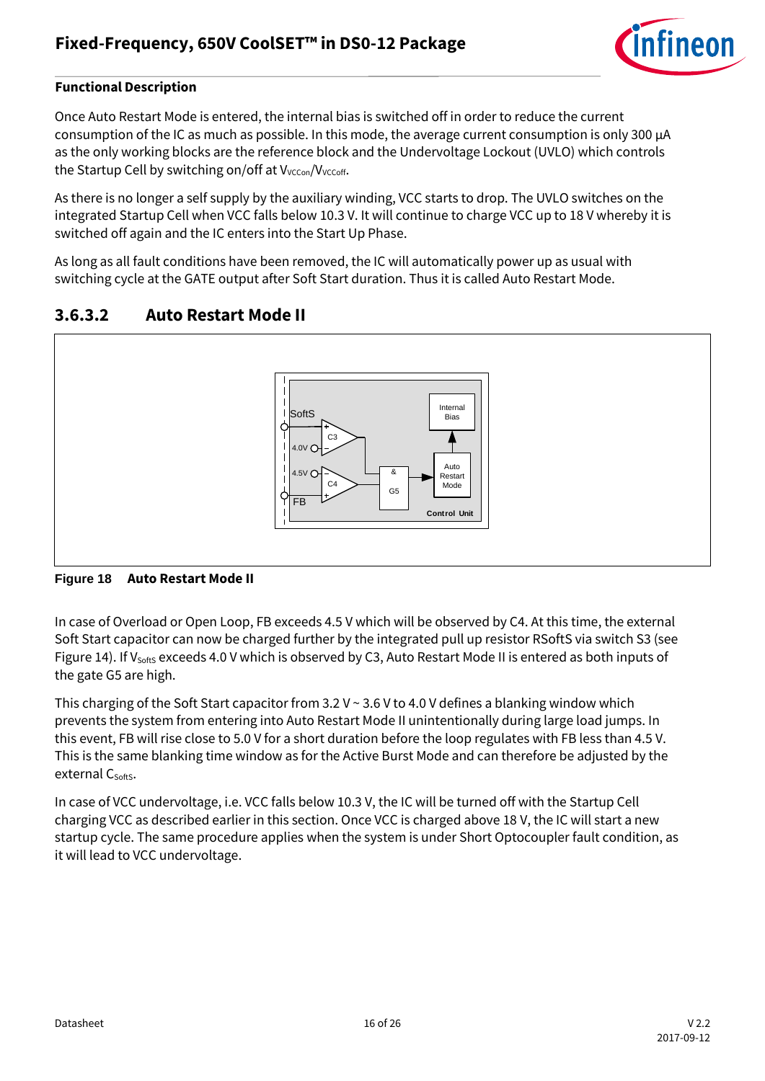![](_page_15_Picture_1.jpeg)

Once Auto Restart Mode is entered, the internal bias is switched off in order to reduce the current consumption of the IC as much as possible. In this mode, the average current consumption is only 300 μA as the only working blocks are the reference block and the Undervoltage Lockout (UVLO) which controls the Startup Cell by switching on/off at V<sub>VCCon</sub>/V<sub>VCCoff</sub>.

As there is no longer a self supply by the auxiliary winding, VCC starts to drop. The UVLO switches on the integrated Startup Cell when VCC falls below 10.3 V. It will continue to charge VCC up to 18 V whereby it is switched off again and the IC enters into the Start Up Phase.

As long as all fault conditions have been removed, the IC will automatically power up as usual with switching cycle at the GATE output after Soft Start duration. Thus it is called Auto Restart Mode.

### <span id="page-15-0"></span>**3.6.3.2 Auto Restart Mode II**

![](_page_15_Figure_7.jpeg)

#### **Figure 18 Auto Restart Mode II**

In case of Overload or Open Loop, FB exceeds 4.5 V which will be observed by C4. At this time, the external Soft Start capacitor can now be charged further by the integrated pull up resistor RSoftS via switch S3 (see [Figure 14\)](#page-11-2). If V<sub>softs</sub> exceeds 4.0 V which is observed by C3, Auto Restart Mode II is entered as both inputs of the gate G5 are high.

This charging of the Soft Start capacitor from 3.2 V ~ 3.6 V to 4.0 V defines a blanking window which prevents the system from entering into Auto Restart Mode II unintentionally during large load jumps. In this event, FB will rise close to 5.0 V for a short duration before the loop regulates with FB less than 4.5 V. This is the same blanking time window as for the Active Burst Mode and can therefore be adjusted by the external C<sub>softS</sub>.

In case of VCC undervoltage, i.e. VCC falls below 10.3 V, the IC will be turned off with the Startup Cell charging VCC as described earlier in this section. Once VCC is charged above 18 V, the IC will start a new startup cycle. The same procedure applies when the system is under Short Optocoupler fault condition, as it will lead to VCC undervoltage.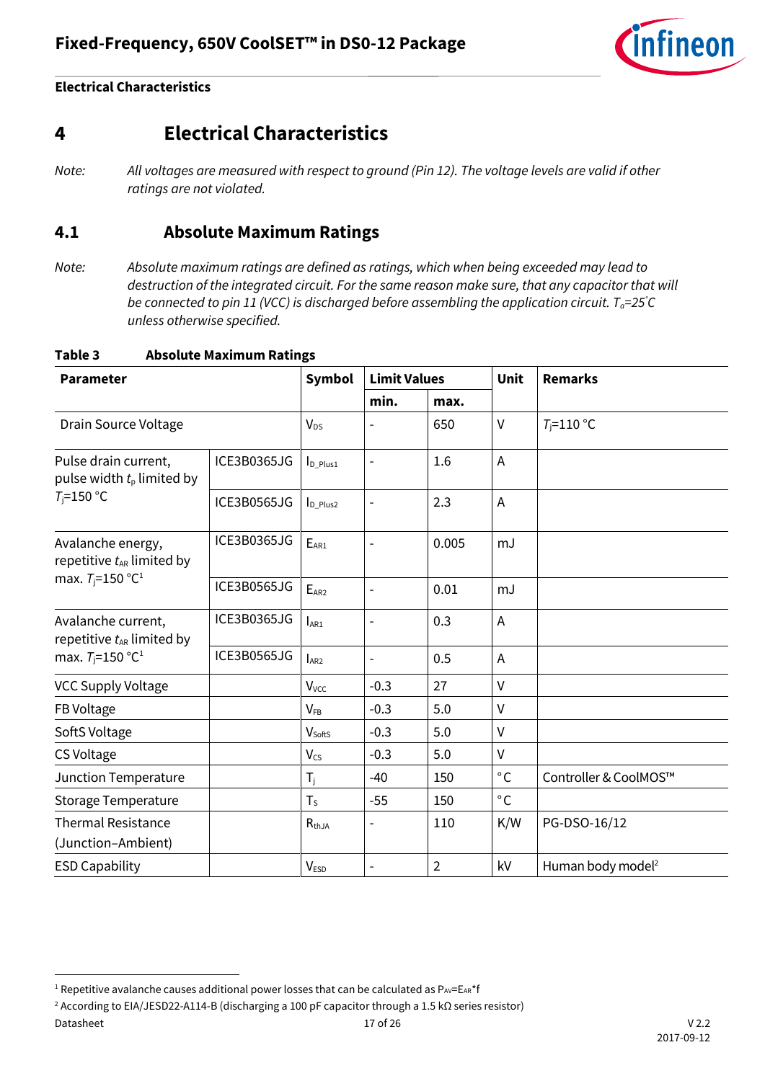![](_page_16_Picture_1.jpeg)

# <span id="page-16-0"></span>**4 Electrical Characteristics**

### <span id="page-16-1"></span>**4.1 Absolute Maximum Ratings**

*Note: Absolute maximum ratings are defined as ratings, which when being exceeded may lead to destruction of the integrated circuit. For the same reason make sure, that any capacitor that will be connected to pin 11 (VCC) is discharged before assembling the application circuit. Ta=25°C unless otherwise specified.*

| <b>Parameter</b>                                     |             | <b>Symbol</b>           | <b>Limit Values</b>      |                | <b>Unit</b>  | <b>Remarks</b>                |
|------------------------------------------------------|-------------|-------------------------|--------------------------|----------------|--------------|-------------------------------|
|                                                      |             |                         | min.                     | max.           |              |                               |
| Drain Source Voltage                                 |             | <b>V<sub>DS</sub></b>   |                          | 650            | $\vee$       | $T_i = 110$ °C                |
| Pulse drain current,<br>pulse width $t_p$ limited by | ICE3B0365JG | $I_{D_Plus1}$           | $\overline{\phantom{a}}$ | 1.6            | Α            |                               |
| $T_i = 150$ °C                                       | ICE3B0565JG | $I_{D_Plus2}$           | $\overline{a}$           | 2.3            | A            |                               |
| Avalanche energy,<br>repetitive $t_{AR}$ limited by  | ICE3B0365JG | $E_{AR1}$               | $\overline{a}$           | 0.005          | mJ           |                               |
| max. $T_i = 150 °C^1$                                | ICE3B0565JG | $E_{AR2}$               |                          | 0.01           | mJ           |                               |
| Avalanche current,<br>repetitive $t_{AR}$ limited by | ICE3B0365JG | $I_{AR1}$               | $\overline{\phantom{a}}$ | 0.3            | A            |                               |
| max. $T_{\rm i}$ =150 °C <sup>1</sup>                | ICE3B0565JG | $I_{AR2}$               | $\overline{\phantom{0}}$ | 0.5            | A            |                               |
| <b>VCC Supply Voltage</b>                            |             | <b>V</b> <sub>VCC</sub> | $-0.3$                   | 27             | V            |                               |
| FB Voltage                                           |             | $V_{FB}$                | $-0.3$                   | 5.0            | $\vee$       |                               |
| SoftS Voltage                                        |             | V <sub>softs</sub>      | $-0.3$                   | 5.0            | V            |                               |
| CS Voltage                                           |             | <b>V<sub>cs</sub></b>   | $-0.3$                   | 5.0            | V            |                               |
| <b>Junction Temperature</b>                          |             | $T_i$                   | $-40$                    | 150            | $^{\circ}$ C | Controller & CoolMOS™         |
| <b>Storage Temperature</b>                           |             | $T_S$                   | $-55$                    | 150            | $^{\circ}$ C |                               |
| <b>Thermal Resistance</b><br>(Junction-Ambient)      |             | $R_{thJA}$              |                          | 110            | K/W          | PG-DSO-16/12                  |
| <b>ESD Capability</b>                                |             | <b>VESD</b>             | $\overline{\phantom{a}}$ | $\overline{2}$ | kV           | Human body model <sup>2</sup> |

#### **Table 3 Absolute Maximum Ratings**

Datasheet 17 of 26 V 2.2 <sup>2</sup> According to EIA/JESD22-A114-B (discharging a 100 pF capacitor through a 1.5 kΩ series resistor)

l

*Note: All voltages are measured with respect to ground (Pin 12). The voltage levels are valid if other ratings are not violated.*

<sup>&</sup>lt;sup>1</sup> Repetitive avalanche causes additional power losses that can be calculated as  $P_{AV}=E_{AR}$ <sup>\*</sup>f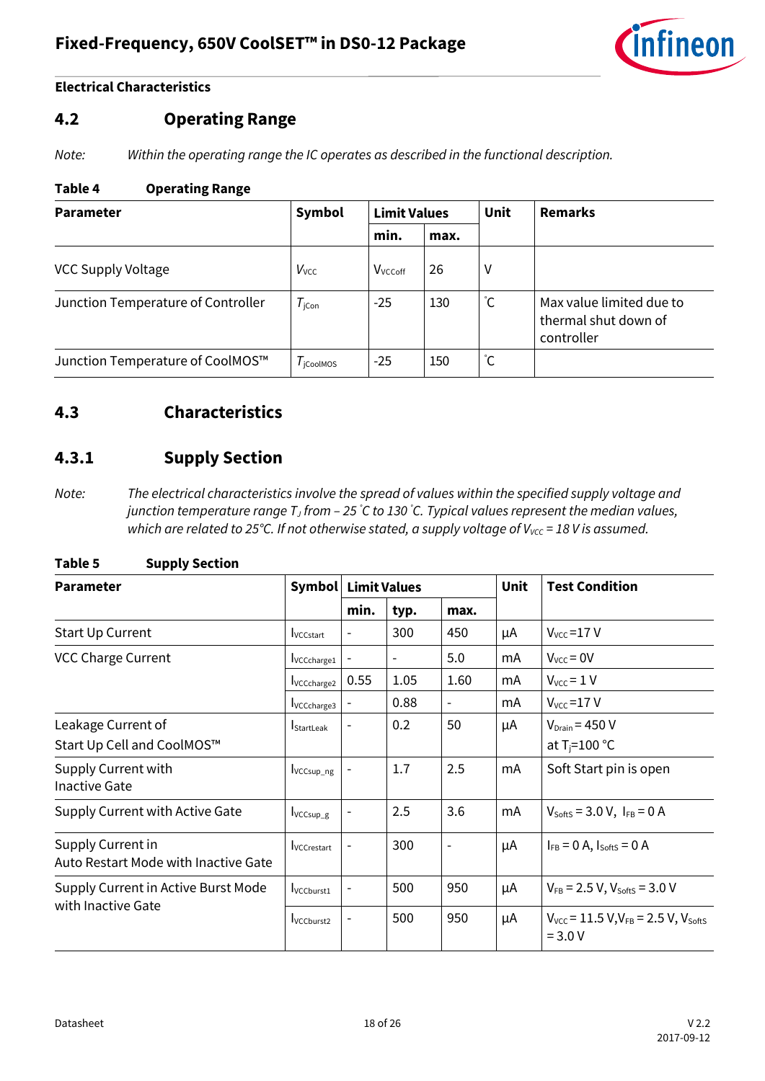![](_page_17_Picture_1.jpeg)

### <span id="page-17-0"></span>**4.2 Operating Range**

*Note: Within the operating range the IC operates as described in the functional description.*

#### **Table 4 Operating Range**

| <b>Parameter</b>                   | Symbol                | <b>Limit Values</b> |      | Unit | <b>Remarks</b>                                                 |  |
|------------------------------------|-----------------------|---------------------|------|------|----------------------------------------------------------------|--|
|                                    |                       | min.                | max. |      |                                                                |  |
| VCC Supply Voltage                 | $V_{\text{VCC}}$      | V <sub>VCCoff</sub> | 26   | V    |                                                                |  |
| Junction Temperature of Controller | $T_{\rm jCon}$        | $-25$               | 130  | °С   | Max value limited due to<br>thermal shut down of<br>controller |  |
| Junction Temperature of CoolMOS™   | $T_{\text{icoolMOS}}$ | $-25$               | 150  | ĈС   |                                                                |  |

### <span id="page-17-1"></span>**4.3 Characteristics**

### <span id="page-17-2"></span>**4.3.1 Supply Section**

*Note: The electrical characteristics involve the spread of values within the specified supply voltage and junction temperature range T<sup>J</sup> from – 25 °C to 130 °C. Typical values represent the median values, which are related to 25°C. If not otherwise stated, a supply voltage of V<sub>Vcc</sub> = 18 V is assumed.* 

| <b>Parameter</b>                                          | Symbol                         |                          | <b>Limit Values</b>      |                          | <b>Unit</b> | <b>Test Condition</b>                                          |  |
|-----------------------------------------------------------|--------------------------------|--------------------------|--------------------------|--------------------------|-------------|----------------------------------------------------------------|--|
|                                                           |                                | min.                     | typ.                     | max.                     |             |                                                                |  |
| Start Up Current                                          | <b>I</b> vccstart              |                          | 300                      | 450                      | μA          | $V_{\text{vcc}}$ =17 V                                         |  |
| <b>VCC Charge Current</b>                                 | I <sub>VCCcharge1</sub>        | $\overline{\phantom{a}}$ | $\overline{\phantom{a}}$ | 5.0                      | mA          | $V_{\text{vcc}} = 0V$                                          |  |
|                                                           | <b>I</b> vcCcharge2            | 0.55                     | 1.05                     | 1.60                     | mA          | $V_{\text{vcc}} = 1 V$                                         |  |
|                                                           | <b>I</b> VCCcharge3            |                          | 0.88                     |                          | mA          | $V_{\text{vcc}}$ =17 V                                         |  |
| Leakage Current of<br>Start Up Cell and CoolMOS™          | <b>StartLeak</b>               |                          | 0.2                      | 50                       | μA          | $V_{Drain}$ = 450 V<br>at $T_i = 100$ °C                       |  |
| Supply Current with<br><b>Inactive Gate</b>               | Ivccsup_ng                     |                          | 1.7                      | 2.5                      | mA          | Soft Start pin is open                                         |  |
| Supply Current with Active Gate                           | $I_{VCCsup\_g}$                |                          | 2.5                      | 3.6                      | mA          | $V_{\text{SoftS}} = 3.0 V, I_{FB} = 0 A$                       |  |
| Supply Current in<br>Auto Restart Mode with Inactive Gate | <b>I</b> vcCrestart            |                          | 300                      | $\overline{\phantom{a}}$ | μA          | $I_{FB} = 0$ A, $I_{SoftS} = 0$ A                              |  |
| Supply Current in Active Burst Mode                       | <b>I</b> vccburst <sub>1</sub> |                          | 500                      | 950                      | μA          | $V_{FB}$ = 2.5 V, $V_{SoftS}$ = 3.0 V                          |  |
| with Inactive Gate                                        | <b>I</b> VCCburst <sub>2</sub> |                          | 500                      | 950                      | μA          | $V_{VCC}$ = 11.5 V, $V_{FB}$ = 2.5 V, $V_{softS}$<br>$= 3.0 V$ |  |

#### **Table 5 Supply Section**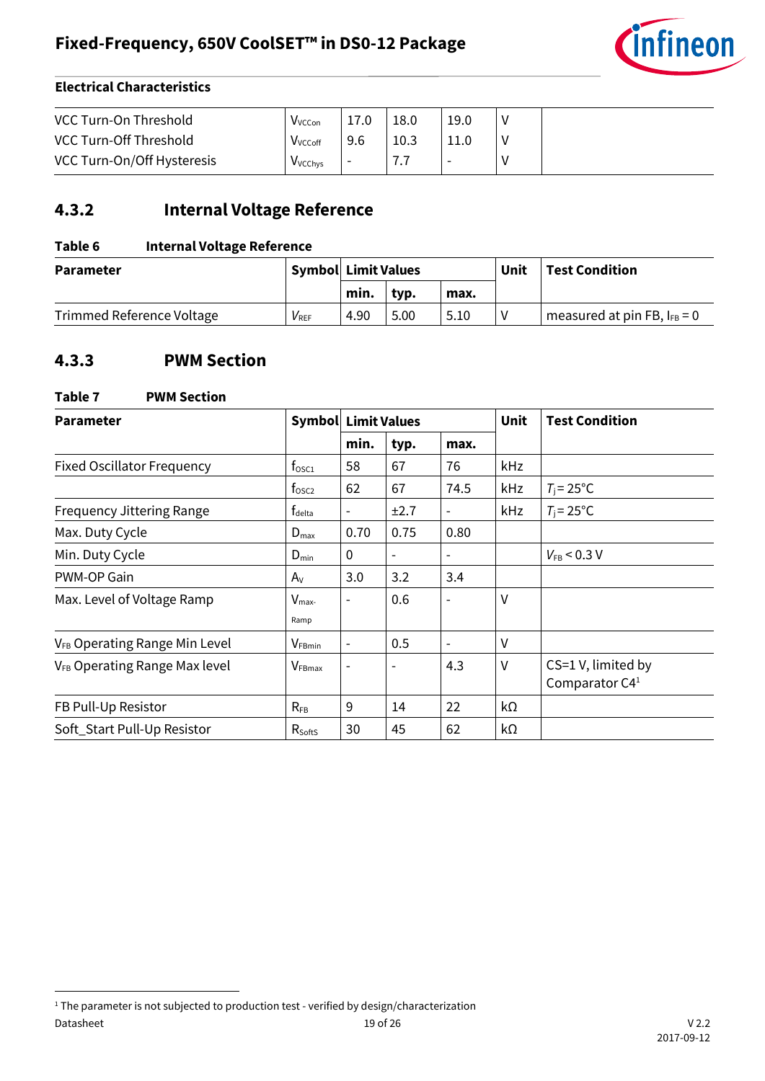![](_page_18_Picture_1.jpeg)

| VCC Turn-On Threshold         | V <sub>VCCon</sub>          |                          | 18.0 | 19.0                     |  |
|-------------------------------|-----------------------------|--------------------------|------|--------------------------|--|
| <b>VCC Turn-Off Threshold</b> | V <sub>VCCoff</sub>         | 9.6                      | 10.3 |                          |  |
| VCC Turn-On/Off Hysteresis    | <b>V</b> <sub>V</sub> CChys | $\overline{\phantom{0}}$ | .    | $\overline{\phantom{a}}$ |  |

### <span id="page-18-0"></span>**4.3.2 Internal Voltage Reference**

### **Table 6 Internal Voltage Reference**

| <b>Parameter</b>          |           | <b>Symbol Limit Values</b> |      |      | Unit | <b>Test Condition</b>            |
|---------------------------|-----------|----------------------------|------|------|------|----------------------------------|
|                           |           | min.                       | typ. | max. |      |                                  |
| Trimmed Reference Voltage | $V_{REF}$ | 4.90                       | 5.00 | 5.10 |      | measured at pin FB, $I_{FB} = 0$ |

## <span id="page-18-1"></span>**4.3.3 PWM Section**

| Table 7<br><b>PWM Section</b>             |                            |                          |                          |                          |             |                                        |  |  |  |
|-------------------------------------------|----------------------------|--------------------------|--------------------------|--------------------------|-------------|----------------------------------------|--|--|--|
| <b>Parameter</b>                          | <b>Symbol Limit Values</b> |                          |                          |                          | <b>Unit</b> | <b>Test Condition</b>                  |  |  |  |
|                                           |                            | min.                     | typ.                     | max.                     |             |                                        |  |  |  |
| <b>Fixed Oscillator Frequency</b>         | $f_{\rm osc1}$             | 58                       | 67                       | 76                       | <b>kHz</b>  |                                        |  |  |  |
|                                           | $f_{\rm osc2}$             | 62                       | 67                       | 74.5                     | kHz         | $T_i = 25^{\circ}C$                    |  |  |  |
| <b>Frequency Jittering Range</b>          | t <sub>delta</sub>         |                          | ±2.7                     | $\overline{\phantom{a}}$ | kHz         | $T_i = 25^{\circ}C$                    |  |  |  |
| Max. Duty Cycle                           | $D_{\text{max}}$           | 0.70                     | 0.75                     | 0.80                     |             |                                        |  |  |  |
| Min. Duty Cycle                           | $D_{\min}$                 | 0                        | $\overline{\phantom{a}}$ | $\overline{\phantom{0}}$ |             | $V_{FB}$ < 0.3 V                       |  |  |  |
| PWM-OP Gain                               | $A_V$                      | 3.0                      | 3.2                      | 3.4                      |             |                                        |  |  |  |
| Max. Level of Voltage Ramp                | $V_{\text{max}}$<br>Ramp   |                          | 0.6                      |                          | ٧           |                                        |  |  |  |
| V <sub>FB</sub> Operating Range Min Level | $V_{FBmin}$                | $\overline{\phantom{0}}$ | 0.5                      | $\overline{\phantom{a}}$ | V           |                                        |  |  |  |
| V <sub>FB</sub> Operating Range Max level | $V_{\text{FBmax}}$         |                          | $\overline{\phantom{0}}$ | 4.3                      | v           | CS=1 V, limited by<br>Comparator $C41$ |  |  |  |
| FB Pull-Up Resistor                       | $R_{FB}$                   | 9                        | 14                       | 22                       | kΩ          |                                        |  |  |  |
| Soft_Start Pull-Up Resistor               | $R_{\text{SoftS}}$         | 30                       | 45                       | 62                       | kΩ          |                                        |  |  |  |

 $\overline{\phantom{a}}$ 

Datasheet 19 of 26 V 2.2 <sup>1</sup> The parameter is not subjected to production test - verified by design/characterization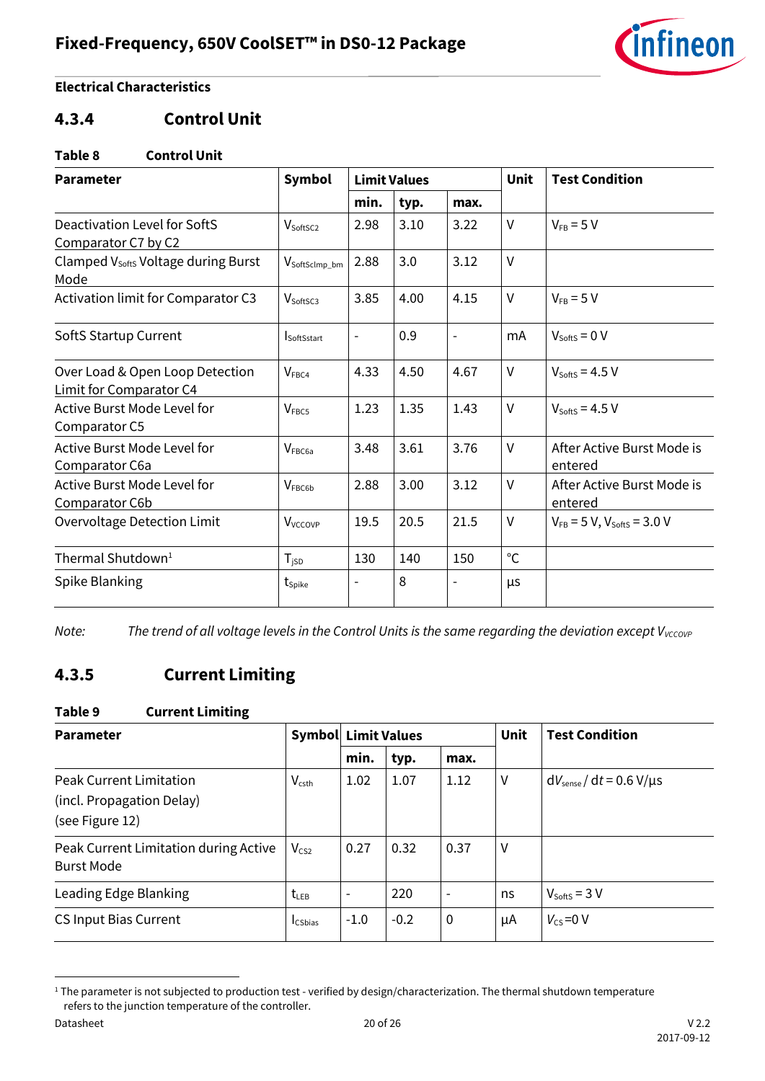![](_page_19_Picture_1.jpeg)

### <span id="page-19-0"></span>**4.3.4 Control Unit**

#### **Table 8 Control Unit**

| <b>Parameter</b>                                           | <b>Symbol</b>              | <b>Limit Values</b>      |      |                          | <b>Unit</b>  | <b>Test Condition</b>                 |  |
|------------------------------------------------------------|----------------------------|--------------------------|------|--------------------------|--------------|---------------------------------------|--|
|                                                            |                            | min.                     | typ. | max.                     |              |                                       |  |
| Deactivation Level for SoftS<br>Comparator C7 by C2        | V <sub>SoftSC2</sub>       | 2.98                     | 3.10 | 3.22                     | $\vee$       | $V_{FB} = 5 V$                        |  |
| Clamped V <sub>softs</sub> Voltage during Burst<br>Mode    | V <sub>SoftSclmp_bm</sub>  | 2.88                     | 3.0  | 3.12                     | $\vee$       |                                       |  |
| Activation limit for Comparator C3                         | V <sub>SoftSC3</sub>       | 3.85                     | 4.00 | 4.15                     | $\vee$       | $V_{FB} = 5 V$                        |  |
| SoftS Startup Current                                      | <b>SoftSstart</b>          | $\overline{\phantom{a}}$ | 0.9  | $\overline{\phantom{a}}$ | mA           | $V_{\text{SoftS}} = 0 V$              |  |
| Over Load & Open Loop Detection<br>Limit for Comparator C4 | $V_{\text{FBC4}}$          | 4.33                     | 4.50 | 4.67                     | $\vee$       | $V_{\text{SoftS}} = 4.5 V$            |  |
| Active Burst Mode Level for<br>Comparator C5               | V <sub>FEC5</sub>          | 1.23                     | 1.35 | 1.43                     | $\vee$       | $V_{\text{SoftS}} = 4.5 V$            |  |
| <b>Active Burst Mode Level for</b><br>Comparator C6a       | V <sub>FEC6a</sub>         | 3.48                     | 3.61 | 3.76                     | $\vee$       | After Active Burst Mode is<br>entered |  |
| Active Burst Mode Level for<br>Comparator C6b              | <b>VFBC6b</b>              | 2.88                     | 3.00 | 3.12                     | $\vee$       | After Active Burst Mode is<br>entered |  |
| Overvoltage Detection Limit                                | <b>V</b> <sub>VCCOVP</sub> | 19.5                     | 20.5 | 21.5                     | $\vee$       | $V_{FB} = 5 V$ , $V_{SoftS} = 3.0 V$  |  |
| Thermal Shutdown <sup>1</sup>                              | $T_{\sf jSD}$              | 130                      | 140  | 150                      | $^{\circ}$ C |                                       |  |
| Spike Blanking                                             | $t_{\mathsf{Spike}}$       | $\overline{a}$           | 8    |                          | μs           |                                       |  |

*Note:* The trend of all voltage levels in the Control Units is the same regarding the deviation except V<sub>VCCOVP</sub>

# <span id="page-19-1"></span>**4.3.5 Current Limiting**

#### **Table 9 Current Limiting**

| <b>Parameter</b>                                                               |                          | <b>Symbol Limit Values</b> |        |                          | Unit | <b>Test Condition</b>                |
|--------------------------------------------------------------------------------|--------------------------|----------------------------|--------|--------------------------|------|--------------------------------------|
|                                                                                |                          | min.                       | typ.   | max.                     |      |                                      |
| <b>Peak Current Limitation</b><br>(incl. Propagation Delay)<br>(see Figure 12) | <b>V</b> <sub>csth</sub> | 1.02                       | 1.07   | 1.12                     | ٧    | $dV_{\text{sense}}/dt = 0.6 V/\mu s$ |
| Peak Current Limitation during Active<br><b>Burst Mode</b>                     | $V_{CS2}$                | 0.27                       | 0.32   | 0.37                     | ٧    |                                      |
| Leading Edge Blanking                                                          | $t_{LEB}$                |                            | 220    | $\overline{\phantom{a}}$ | ns   | $V_{\text{SoftS}} = 3 V$             |
| <b>CS Input Bias Current</b>                                                   | <b>I</b> CSbias          | $-1.0$                     | $-0.2$ | $\mathbf 0$              | μA   | $V_{\text{CS}}=0$ V                  |

<sup>&</sup>lt;sup>1</sup> The parameter is not subjected to production test - verified by design/characterization. The thermal shutdown temperature refers to the junction temperature of the controller.

 $\overline{\phantom{a}}$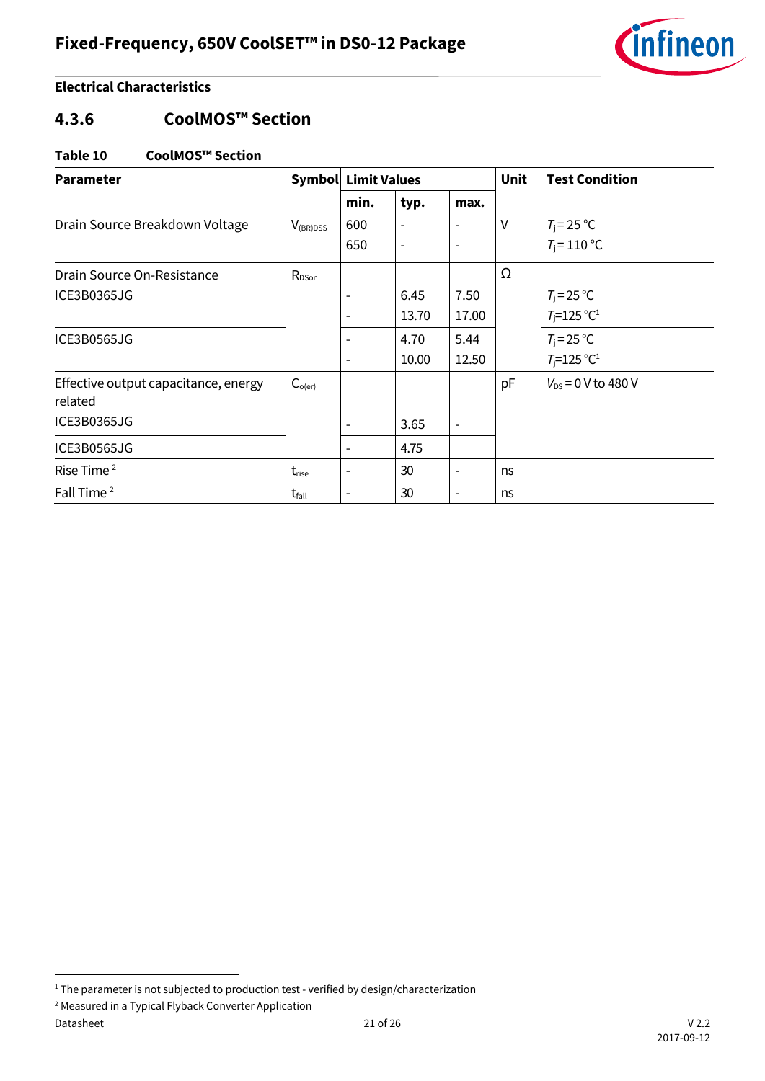![](_page_20_Picture_1.jpeg)

### <span id="page-20-0"></span>**4.3.6 CoolMOS™ Section**

#### **Table 10 CoolMOS™ Section**

| <b>Parameter</b>                                |                   | <b>Symbol Limit Values</b> |                          |                          | Unit   | <b>Test Condition</b>               |
|-------------------------------------------------|-------------------|----------------------------|--------------------------|--------------------------|--------|-------------------------------------|
|                                                 |                   | min.                       | typ.                     | max.                     |        |                                     |
| Drain Source Breakdown Voltage                  | $V_{(BR)DSS}$     | 600                        |                          |                          | $\vee$ | $T_j = 25 °C$                       |
|                                                 |                   | 650                        | $\overline{\phantom{a}}$ | $\overline{\phantom{a}}$ |        | $T_i = 110 °C$                      |
| Drain Source On-Resistance                      | $R_{DSon}$        |                            |                          |                          | Ω      |                                     |
| ICE3B0365JG                                     |                   |                            | 6.45                     | 7.50                     |        | $T_{\rm j} = 25 \,^{\circ}\text{C}$ |
|                                                 |                   |                            | 13.70                    | 17.00                    |        | $T_i = 125$ °C <sup>1</sup>         |
| ICE3B0565JG                                     |                   |                            | 4.70                     | 5.44                     |        | $T_i = 25$ °C                       |
|                                                 |                   |                            | 10.00                    | 12.50                    |        | $T_{\rm i}$ =125 °C <sup>1</sup>    |
| Effective output capacitance, energy<br>related | $C_{o(er)}$       |                            |                          |                          | pF     | $V_{DS} = 0$ V to 480 V             |
| ICE3B0365JG                                     |                   |                            | 3.65                     |                          |        |                                     |
| ICE3B0565JG                                     |                   |                            | 4.75                     |                          |        |                                     |
| Rise Time <sup>2</sup>                          | t <sub>rise</sub> | $\overline{\phantom{a}}$   | 30                       | $\overline{\phantom{a}}$ | ns     |                                     |
| Fall Time <sup>2</sup>                          | $t_{\text{fall}}$ | $\overline{\phantom{0}}$   | 30                       |                          | ns     |                                     |

l

<sup>&</sup>lt;sup>1</sup> The parameter is not subjected to production test - verified by design/characterization

<sup>2</sup> Measured in a Typical Flyback Converter Application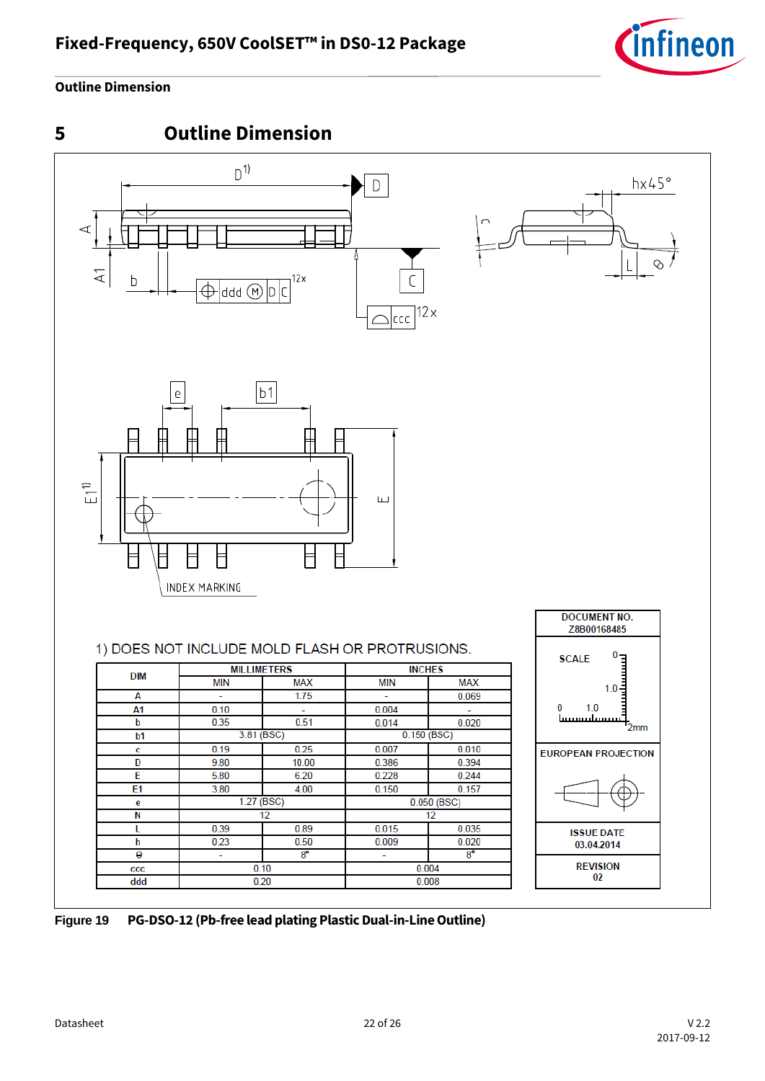![](_page_21_Picture_1.jpeg)

### **Outline Dimension**

<span id="page-21-0"></span>![](_page_21_Figure_3.jpeg)

**Figure 19 PG-DSO-12 (Pb-free lead plating Plastic Dual-in-Line Outline)**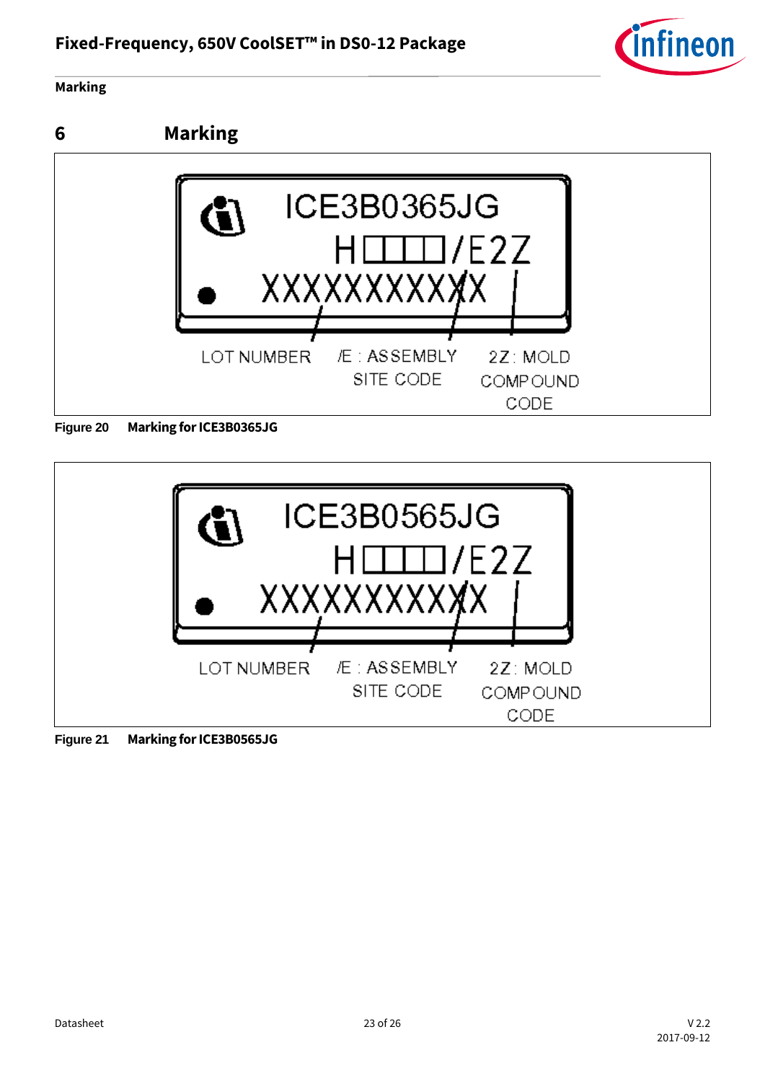![](_page_22_Picture_1.jpeg)

#### **Marking**

<span id="page-22-0"></span>![](_page_22_Figure_3.jpeg)

![](_page_22_Figure_4.jpeg)

**Figure 21 Marking for ICE3B0565JG**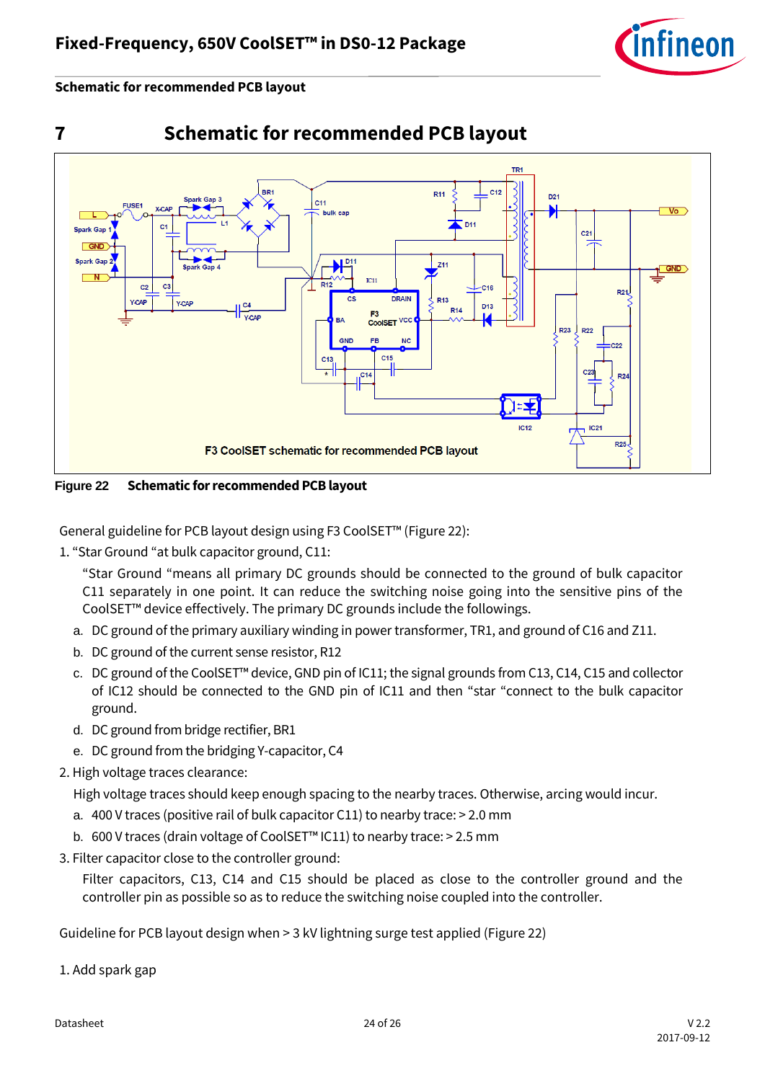![](_page_23_Picture_1.jpeg)

**Schematic for recommended PCB layout**

<span id="page-23-0"></span>![](_page_23_Figure_3.jpeg)

![](_page_23_Figure_4.jpeg)

<span id="page-23-1"></span>**Figure 22 Schematic for recommended PCB layout**

General guideline for PCB layout design using F3 CoolSET™ ([Figure 22\)](#page-23-1):

1. "Star Ground "at bulk capacitor ground, C11:

"Star Ground "means all primary DC grounds should be connected to the ground of bulk capacitor C11 separately in one point. It can reduce the switching noise going into the sensitive pins of the CoolSET™ device effectively. The primary DC grounds include the followings.

- a. DC ground of the primary auxiliary winding in power transformer, TR1, and ground of C16 and Z11.
- b. DC ground of the current sense resistor, R12
- c. DC ground of the CoolSET™ device, GND pin of IC11; the signal grounds from C13, C14, C15 and collector of IC12 should be connected to the GND pin of IC11 and then "star "connect to the bulk capacitor ground.
- d. DC ground from bridge rectifier, BR1
- e. DC ground from the bridging Y-capacitor, C4
- 2. High voltage traces clearance:

High voltage traces should keep enough spacing to the nearby traces. Otherwise, arcing would incur.

- a. 400 V traces (positive rail of bulk capacitor C11) to nearby trace: > 2.0 mm
- b. 600 V traces (drain voltage of CoolSET™ IC11) to nearby trace: > 2.5 mm
- 3. Filter capacitor close to the controller ground:

Filter capacitors, C13, C14 and C15 should be placed as close to the controller ground and the controller pin as possible so as to reduce the switching noise coupled into the controller.

Guideline for PCB layout design when > 3 kV lightning surge test applied [\(Figure 22\)](#page-23-1)

1. Add spark gap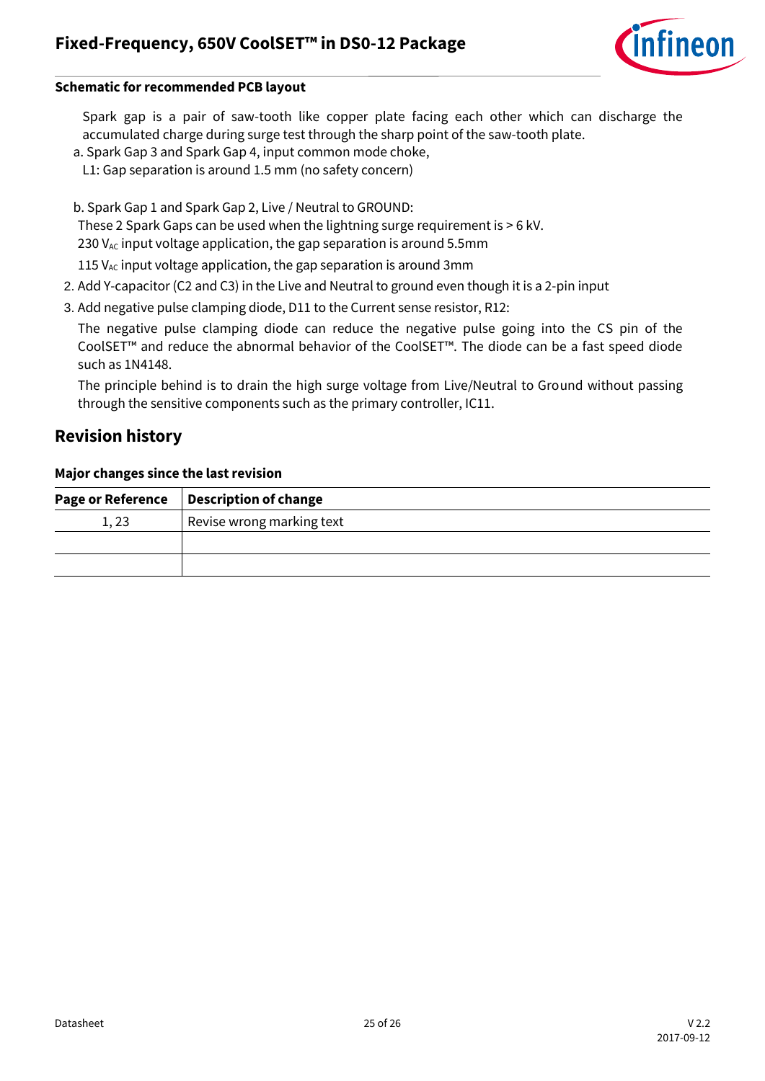![](_page_24_Picture_1.jpeg)

#### **Schematic for recommended PCB layout**

Spark gap is a pair of saw-tooth like copper plate facing each other which can discharge the accumulated charge during surge test through the sharp point of the saw-tooth plate.

- a. Spark Gap 3 and Spark Gap 4, input common mode choke,
- L1: Gap separation is around 1.5 mm (no safety concern)
- b. Spark Gap 1 and Spark Gap 2, Live / Neutral to GROUND:

These 2 Spark Gaps can be used when the lightning surge requirement is > 6 kV.

230  $V_{AC}$  input voltage application, the gap separation is around 5.5mm

115  $V_{AC}$  input voltage application, the gap separation is around 3mm

- 2. Add Y-capacitor (C2 and C3) in the Live and Neutral to ground even though it is a 2-pin input
- 3. Add negative pulse clamping diode, D11 to the Current sense resistor, R12:

The negative pulse clamping diode can reduce the negative pulse going into the CS pin of the CoolSET™ and reduce the abnormal behavior of the CoolSET™. The diode can be a fast speed diode such as 1N4148.

The principle behind is to drain the high surge voltage from Live/Neutral to Ground without passing through the sensitive components such as the primary controller, IC11.

### <span id="page-24-0"></span>**Revision history**

#### **Major changes since the last revision**

|      | Page or Reference   Description of change |
|------|-------------------------------------------|
| 1,23 | Revise wrong marking text                 |
|      |                                           |
|      |                                           |